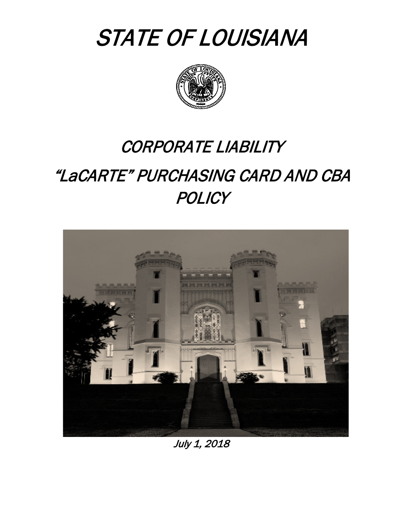



# CORPORATE LIABILITY

# "LaCARTE" PURCHASING CARD AND CBA **POLICY**



July 1, 2018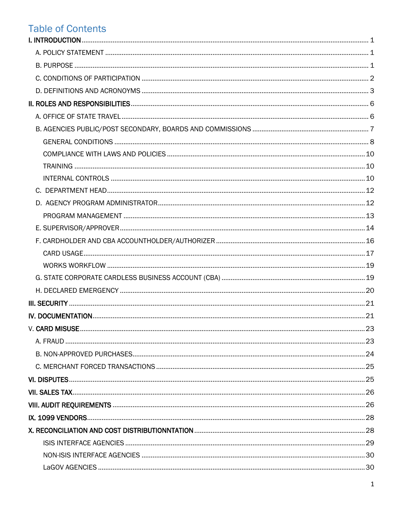# **Table of Contents**

| V. CARD MISUSE |  |
|----------------|--|
|                |  |
|                |  |
|                |  |
|                |  |
|                |  |
|                |  |
|                |  |
|                |  |
|                |  |
|                |  |
|                |  |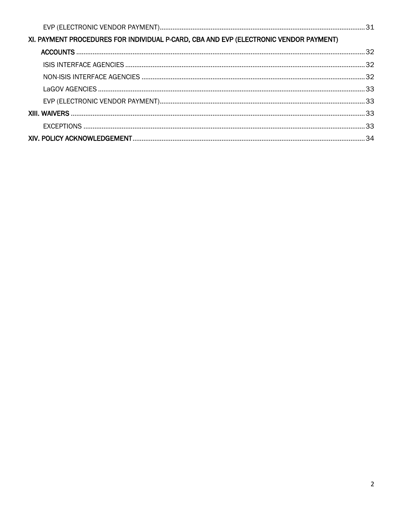| XI. PAYMENT PROCEDURES FOR INDIVIDUAL P-CARD, CBA AND EVP (ELECTRONIC VENDOR PAYMENT) |  |
|---------------------------------------------------------------------------------------|--|
|                                                                                       |  |
|                                                                                       |  |
|                                                                                       |  |
|                                                                                       |  |
|                                                                                       |  |
|                                                                                       |  |
|                                                                                       |  |
|                                                                                       |  |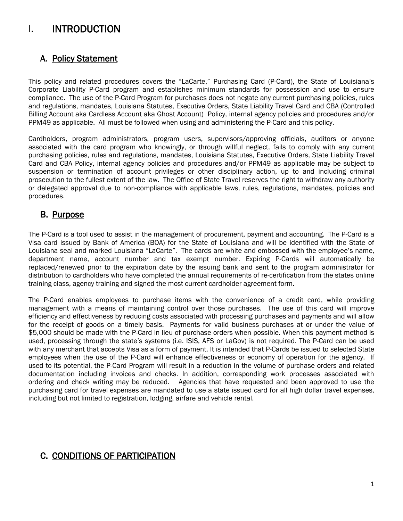# I. INTRODUCTION

### A. Policy Statement

This policy and related procedures covers the "LaCarte," Purchasing Card (P-Card), the State of Louisiana's Corporate Liability P-Card program and establishes minimum standards for possession and use to ensure compliance. The use of the P-Card Program for purchases does not negate any current purchasing policies, rules and regulations, mandates, Louisiana Statutes, Executive Orders, State Liability Travel Card and CBA (Controlled Billing Account aka Cardless Account aka Ghost Account) Policy, internal agency policies and procedures and/or PPM49 as applicable. All must be followed when using and administering the P-Card and this policy.

Cardholders, program administrators, program users, supervisors/approving officials, auditors or anyone associated with the card program who knowingly, or through willful neglect, fails to comply with any current purchasing policies, rules and regulations, mandates, Louisiana Statutes, Executive Orders, State Liability Travel Card and CBA Policy, internal agency policies and procedures and/or PPM49 as applicable may be subject to suspension or termination of account privileges or other disciplinary action, up to and including criminal prosecution to the fullest extent of the law. The Office of State Travel reserves the right to withdraw any authority or delegated approval due to non-compliance with applicable laws, rules, regulations, mandates, policies and procedures.

### B. Purpose

The P-Card is a tool used to assist in the management of procurement, payment and accounting. The P-Card is a Visa card issued by Bank of America (BOA) for the State of Louisiana and will be identified with the State of Louisiana seal and marked Louisiana "LaCarte". The cards are white and embossed with the employee's name, department name, account number and tax exempt number. Expiring P-Cards will automatically be replaced/renewed prior to the expiration date by the issuing bank and sent to the program administrator for distribution to cardholders who have completed the annual requirements of re-certification from the states online training class, agency training and signed the most current cardholder agreement form.

The P-Card enables employees to purchase items with the convenience of a credit card, while providing management with a means of maintaining control over those purchases. The use of this card will improve efficiency and effectiveness by reducing costs associated with processing purchases and payments and will allow for the receipt of goods on a timely basis. Payments for valid business purchases at or under the value of \$5,000 should be made with the P-Card in lieu of purchase orders when possible. When this payment method is used, processing through the state's systems (i.e. ISIS, AFS or LaGov) is not required. The P-Card can be used with any merchant that accepts Visa as a form of payment. It is intended that P-Cards be issued to selected State employees when the use of the P-Card will enhance effectiveness or economy of operation for the agency. If used to its potential, the P-Card Program will result in a reduction in the volume of purchase orders and related documentation including invoices and checks. In addition, corresponding work processes associated with ordering and check writing may be reduced. Agencies that have requested and been approved to use the purchasing card for travel expenses are mandated to use a state issued card for all high dollar travel expenses, including but not limited to registration, lodging, airfare and vehicle rental.

### C. CONDITIONS OF PARTICIPATION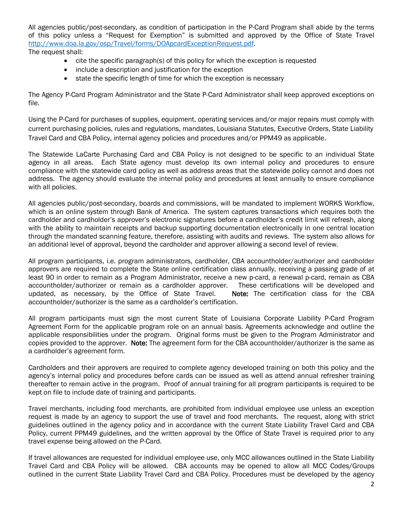All agencies public/post-secondary, as condition of participation in the P-Card Program shall abide by the terms of this policy unless a "Request for Exemption" is submitted and approved by the Office of State Travel [http://www.doa.la.gov/osp/Travel/forms/DOApcardExceptionRequest.pdf.](http://www.doa.la.gov/osp/Travel/forms/DOApcardExceptionRequest.pdf)

The request shall:

- cite the specific paragraph(s) of this policy for which the exception is requested
- include a description and justification for the exception
- state the specific length of time for which the exception is necessary

The Agency P-Card Program Administrator and the State P-Card Administrator shall keep approved exceptions on file.

Using the P-Card for purchases of supplies, equipment, operating services and/or major repairs must comply with current purchasing policies, rules and regulations, mandates, Louisiana Statutes, Executive Orders, State Liability Travel Card and CBA Policy, internal agency policies and procedures and/or PPM49 as applicable.

The Statewide LaCarte Purchasing Card and CBA Policy is not designed to be specific to an individual State agency in all areas. Each State agency must develop its own internal policy and procedures to ensure compliance with the statewide card policy as well as address areas that the statewide policy cannot and does not address. The agency should evaluate the internal policy and procedures at least annually to ensure compliance with all policies.

All agencies public/post-secondary, boards and commissions, will be mandated to implement WORKS Workflow, which is an online system through Bank of America. The system captures transactions which requires both the cardholder and cardholder's approver's electronic signatures before a cardholder's credit limit will refresh, along with the ability to maintain receipts and backup supporting documentation electronically in one central location through the mandated scanning feature, therefore, assisting with audits and reviews. The system also allows for an additional level of approval, beyond the cardholder and approver allowing a second level of review.

All program participants, i.e. program administrators, cardholder, CBA accountholder/authorizer and cardholder approvers are required to complete the State online certification class annually, receiving a passing grade of at least 90 in order to remain as a Program Administrator, receive a new p-card, a renewal p-card, remain as CBA accountholder/authorizer or remain as a cardholder approver. These certifications will be developed and updated, as necessary, by the Office of State Travel. Note: The certification class for the CBA accountholder/authorizer is the same as a cardholder's certification.

All program participants must sign the most current State of Louisiana Corporate Liability P-Card Program Agreement Form for the applicable program role on an annual basis. Agreements acknowledge and outline the applicable responsibilities under the program. Original forms must be given to the Program Administrator and copies provided to the approver. Note: The agreement form for the CBA accountholder/authorizer is the same as a cardholder's agreement form.

Cardholders and their approvers are required to complete agency developed training on both this policy and the agency's internal policy and procedures before cards can be issued as well as attend annual refresher training thereafter to remain active in the program. Proof of annual training for all program participants is required to be kept on file to include date of training and participants.

Travel merchants, including food merchants, are prohibited from individual employee use unless an exception request is made by an agency to support the use of travel and food merchants. The request, along with strict guidelines outlined in the agency policy and in accordance with the current State Liability Travel Card and CBA Policy, current PPM49 guidelines, and the written approval by the Office of State Travel is required prior to any travel expense being allowed on the P-Card.

If travel allowances are requested for individual employee use, only MCC allowances outlined in the State Liability Travel Card and CBA Policy will be allowed. CBA accounts may be opened to allow all MCC Codes/Groups outlined in the current State Liability Travel Card and CBA Policy. Procedures must be developed by the agency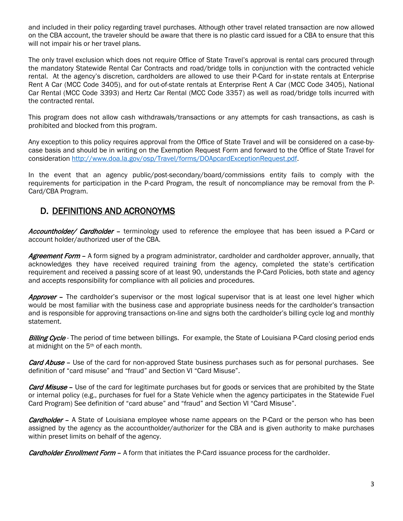and included in their policy regarding travel purchases. Although other travel related transaction are now allowed on the CBA account, the traveler should be aware that there is no plastic card issued for a CBA to ensure that this will not impair his or her travel plans.

The only travel exclusion which does not require Office of State Travel's approval is rental cars procured through the mandatory Statewide Rental Car Contracts and road/bridge tolls in conjunction with the contracted vehicle rental. At the agency's discretion, cardholders are allowed to use their P-Card for in-state rentals at Enterprise Rent A Car (MCC Code 3405), and for out-of-state rentals at Enterprise Rent A Car (MCC Code 3405), National Car Rental (MCC Code 3393) and Hertz Car Rental (MCC Code 3357) as well as road/bridge tolls incurred with the contracted rental.

This program does not allow cash withdrawals/transactions or any attempts for cash transactions, as cash is prohibited and blocked from this program.

Any exception to this policy requires approval from the Office of State Travel and will be considered on a case-bycase basis and should be in writing on the Exemption Request Form and forward to the Office of State Travel for consideration [http://www.doa.la.gov/osp/Travel/forms/DOApcardExceptionRequest.pdf.](http://www.doa.la.gov/osp/Travel/forms/DOApcardExceptionRequest.pdf)

In the event that an agency public/post-secondary/board/commissions entity fails to comply with the requirements for participation in the P-card Program, the result of noncompliance may be removal from the P-Card/CBA Program.

### D. DEFINITIONS AND ACRONOYMS

Accountholder/ Cardholder - terminology used to reference the employee that has been issued a P-Card or account holder/authorized user of the CBA.

Agreement Form – A form signed by a program administrator, cardholder and cardholder approver, annually, that acknowledges they have received required training from the agency, completed the state's certification requirement and received a passing score of at least 90, understands the P-Card Policies, both state and agency and accepts responsibility for compliance with all policies and procedures.

Approver – The cardholder's supervisor or the most logical supervisor that is at least one level higher which would be most familiar with the business case and appropriate business needs for the cardholder's transaction and is responsible for approving transactions on-line and signs both the cardholder's billing cycle log and monthly statement.

Billing Cycle - The period of time between billings. For example, the State of Louisiana P-Card closing period ends at midnight on the 5th of each month.

**Card Abuse** – Use of the card for non-approved State business purchases such as for personal purchases. See definition of "card misuse" and "fraud" and Section VI "Card Misuse".

Card Misuse – Use of the card for legitimate purchases but for goods or services that are prohibited by the State or internal policy (e.g., purchases for fuel for a State Vehicle when the agency participates in the Statewide Fuel Card Program) See definition of "card abuse" and "fraud" and Section VI "Card Misuse".

**Cardholder** – A State of Louisiana employee whose name appears on the P-Card or the person who has been assigned by the agency as the accountholder/authorizer for the CBA and is given authority to make purchases within preset limits on behalf of the agency.

**Cardholder Enrollment Form -** A form that initiates the P-Card issuance process for the cardholder.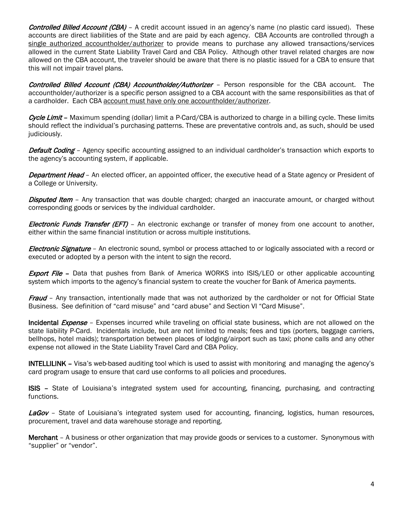Controlled Billed Account (CBA) – A credit account issued in an agency's name (no plastic card issued). These accounts are direct liabilities of the State and are paid by each agency. CBA Accounts are controlled through a single authorized accountholder/authorizer to provide means to purchase any allowed transactions/services allowed in the current State Liability Travel Card and CBA Policy. Although other travel related charges are now allowed on the CBA account, the traveler should be aware that there is no plastic issued for a CBA to ensure that this will not impair travel plans.

Controlled Billed Account (CBA) Accountholder/Authorizer - Person responsible for the CBA account. The accountholder/authorizer is a specific person assigned to a CBA account with the same responsibilities as that of a cardholder. Each CBA account must have only one accountholder/authorizer.

Cycle Limit – Maximum spending (dollar) limit a P-Card/CBA is authorized to charge in a billing cycle. These limits should reflect the individual's purchasing patterns. These are preventative controls and, as such, should be used judiciously.

Default Coding - Agency specific accounting assigned to an individual cardholder's transaction which exports to the agency's accounting system, if applicable.

**Department Head** – An elected officer, an appointed officer, the executive head of a State agency or President of a College or University.

**Disputed Item** – Any transaction that was double charged; charged an inaccurate amount, or charged without corresponding goods or services by the individual cardholder.

Electronic Funds Transfer (EFT) - An electronic exchange or transfer of money from one account to another, either within the same financial institution or across multiple institutions.

Electronic Signature - An electronic sound, symbol or process attached to or logically associated with a record or executed or adopted by a person with the intent to sign the record.

**Export File -** Data that pushes from Bank of America WORKS into ISIS/LEO or other applicable accounting system which imports to the agency's financial system to create the voucher for Bank of America payments.

Fraud - Any transaction, intentionally made that was not authorized by the cardholder or not for Official State Business. See definition of "card misuse" and "card abuse" and Section VI "Card Misuse".

Incidental Expense - Expenses incurred while traveling on official state business, which are not allowed on the state liability P-Card. Incidentals include, but are not limited to meals; fees and tips (porters, baggage carriers, bellhops, hotel maids); transportation between places of lodging/airport such as taxi; phone calls and any other expense not allowed in the State Liability Travel Card and CBA Policy.

INTELLILINK – Visa's web-based auditing tool which is used to assist with monitoring and managing the agency's card program usage to ensure that card use conforms to all policies and procedures.

ISIS – State of Louisiana's integrated system used for accounting, financing, purchasing, and contracting functions.

LaGov - State of Louisiana's integrated system used for accounting, financing, logistics, human resources, procurement, travel and data warehouse storage and reporting.

Merchant – A business or other organization that may provide goods or services to a customer. Synonymous with "supplier" or "vendor".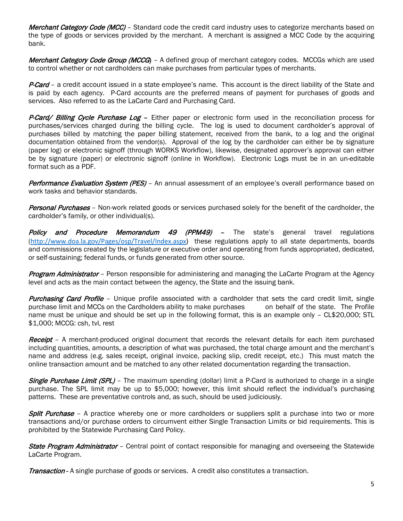Merchant Category Code (MCC) – Standard code the credit card industry uses to categorize merchants based on the type of goods or services provided by the merchant. A merchant is assigned a MCC Code by the acquiring bank.

Merchant Category Code Group (MCCG) - A defined group of merchant category codes. MCCGs which are used to control whether or not cardholders can make purchases from particular types of merchants.

P-Card – a credit account issued in a state employee's name. This account is the direct liability of the State and is paid by each agency. P-Card accounts are the preferred means of payment for purchases of goods and services. Also referred to as the LaCarte Card and Purchasing Card.

P-Card/ Billing Cycle Purchase Log – Either paper or electronic form used in the reconciliation process for purchases/services charged during the billing cycle. The log is used to document cardholder's approval of purchases billed by matching the paper billing statement, received from the bank, to a log and the original documentation obtained from the vendor(s). Approval of the log by the cardholder can either be by signature (paper log) or electronic signoff (through WORKS Workflow), likewise, designated approver's approval can either be by signature (paper) or electronic signoff (online in Workflow). Electronic Logs must be in an un-editable format such as a PDF.

Performance Evaluation System (PES) - An annual assessment of an employee's overall performance based on work tasks and behavior standards.

**Personal Purchases** – Non-work related goods or services purchased solely for the benefit of the cardholder, the cardholder's family, or other individual(s).

**Policy and Procedure Memorandum 49 (PPM49)** – The state's general travel regulations ([http://www.doa.la.gov/Pages/osp/Travel/Index.aspx\)](http://www.doa.la.gov/Pages/osp/Travel/Index.aspx) these regulations apply to all state departments, boards and commissions created by the legislature or executive order and operating from funds appropriated, dedicated, or self-sustaining; federal funds, or funds generated from other source.

Program Administrator – Person responsible for administering and managing the LaCarte Program at the Agency level and acts as the main contact between the agency, the State and the issuing bank.

**Purchasing Card Profile** – Unique profile associated with a cardholder that sets the card credit limit, single purchase limit and MCCs on the Cardholders ability to make purchases on behalf of the state. The Profile name must be unique and should be set up in the following format, this is an example only – CL\$20,000; STL \$1,000; MCCG: csh, tvl, rest

**Receipt** - A merchant-produced original document that records the relevant details for each item purchased including quantities, amounts, a description of what was purchased, the total charge amount and the merchant's name and address (e.g. sales receipt, original invoice, packing slip, credit receipt, etc.) This must match the online transaction amount and be matched to any other related documentation regarding the transaction.

**Single Purchase Limit (SPL)** – The maximum spending (dollar) limit a P-Card is authorized to charge in a single purchase. The SPL limit may be up to \$5,000; however, this limit should reflect the individual's purchasing patterns. These are preventative controls and, as such, should be used judiciously.

**Split Purchase** – A practice whereby one or more cardholders or suppliers split a purchase into two or more transactions and/or purchase orders to circumvent either Single Transaction Limits or bid requirements. This is prohibited by the Statewide Purchasing Card Policy.

**State Program Administrator** – Central point of contact responsible for managing and overseeing the Statewide LaCarte Program.

**Transaction** - A single purchase of goods or services. A credit also constitutes a transaction.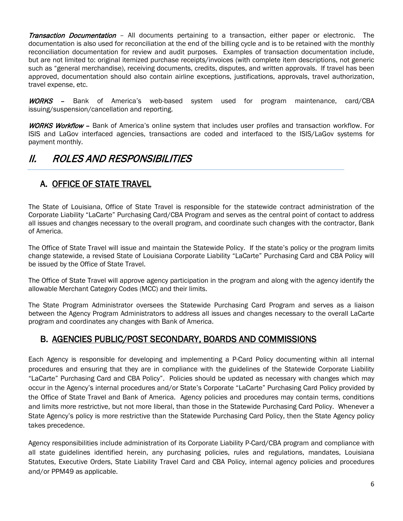**Transaction Documentation** – All documents pertaining to a transaction, either paper or electronic. The documentation is also used for reconciliation at the end of the billing cycle and is to be retained with the monthly reconciliation documentation for review and audit purposes. Examples of transaction documentation include, but are not limited to: original itemized purchase receipts/invoices (with complete item descriptions, not generic such as "general merchandise), receiving documents, credits, disputes, and written approvals. If travel has been approved, documentation should also contain airline exceptions, justifications, approvals, travel authorization, travel expense, etc.

WORKS - Bank of America's web-based system used for program maintenance, card/CBA issuing/suspension/cancellation and reporting.

WORKS Workflow - Bank of America's online system that includes user profiles and transaction workflow. For ISIS and LaGov interfaced agencies, transactions are coded and interfaced to the ISIS/LaGov systems for payment monthly.

# II. ROLES AND RESPONSIBILITIES

### A. <u>OFFICE OF STATE TRAVEL</u>

The State of Louisiana, Office of State Travel is responsible for the statewide contract administration of the Corporate Liability "LaCarte" Purchasing Card/CBA Program and serves as the central point of contact to address all issues and changes necessary to the overall program, and coordinate such changes with the contractor, Bank of America.

The Office of State Travel will issue and maintain the Statewide Policy. If the state's policy or the program limits change statewide, a revised State of Louisiana Corporate Liability "LaCarte" Purchasing Card and CBA Policy will be issued by the Office of State Travel.

The Office of State Travel will approve agency participation in the program and along with the agency identify the allowable Merchant Category Codes (MCC) and their limits.

The State Program Administrator oversees the Statewide Purchasing Card Program and serves as a liaison between the Agency Program Administrators to address all issues and changes necessary to the overall LaCarte program and coordinates any changes with Bank of America.

### B. AGENCIES PUBLIC/POST SECONDARY, BOARDS AND COMMISSIONS

Each Agency is responsible for developing and implementing a P-Card Policy documenting within all internal procedures and ensuring that they are in compliance with the guidelines of the Statewide Corporate Liability "LaCarte" Purchasing Card and CBA Policy". Policies should be updated as necessary with changes which may occur in the Agency's internal procedures and/or State's Corporate "LaCarte" Purchasing Card Policy provided by the Office of State Travel and Bank of America. Agency policies and procedures may contain terms, conditions and limits more restrictive, but not more liberal, than those in the Statewide Purchasing Card Policy. Whenever a State Agency's policy is more restrictive than the Statewide Purchasing Card Policy, then the State Agency policy takes precedence.

Agency responsibilities include administration of its Corporate Liability P-Card/CBA program and compliance with all state guidelines identified herein, any purchasing policies, rules and regulations, mandates, Louisiana Statutes, Executive Orders, State Liability Travel Card and CBA Policy, internal agency policies and procedures and/or PPM49 as applicable.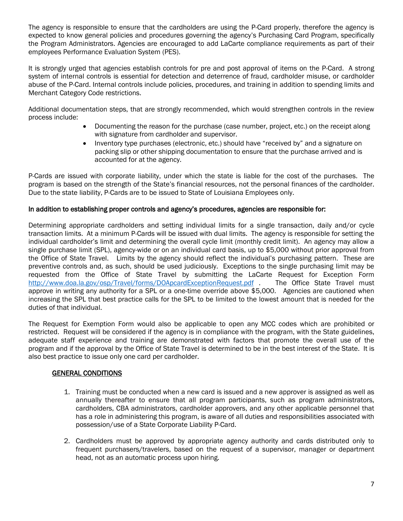The agency is responsible to ensure that the cardholders are using the P-Card properly, therefore the agency is expected to know general policies and procedures governing the agency's Purchasing Card Program, specifically the Program Administrators. Agencies are encouraged to add LaCarte compliance requirements as part of their employees Performance Evaluation System (PES).

It is strongly urged that agencies establish controls for pre and post approval of items on the P-Card. A strong system of internal controls is essential for detection and deterrence of fraud, cardholder misuse, or cardholder abuse of the P-Card. Internal controls include policies, procedures, and training in addition to spending limits and Merchant Category Code restrictions.

Additional documentation steps, that are strongly recommended, which would strengthen controls in the review process include:

- Documenting the reason for the purchase (case number, project, etc.) on the receipt along with signature from cardholder and supervisor.
- Inventory type purchases (electronic, etc.) should have "received by" and a signature on packing slip or other shipping documentation to ensure that the purchase arrived and is accounted for at the agency.

P-Cards are issued with corporate liability, under which the state is liable for the cost of the purchases. The program is based on the strength of the State's financial resources, not the personal finances of the cardholder. Due to the state liability, P-Cards are to be issued to State of Louisiana Employees only.

#### In addition to establishing proper controls and agency's procedures, agencies are responsible for:

Determining appropriate cardholders and setting individual limits for a single transaction, daily and/or cycle transaction limits. At a minimum P-Cards will be issued with dual limits. The agency is responsible for setting the individual cardholder's limit and determining the overall cycle limit (monthly credit limit). An agency may allow a single purchase limit (SPL), agency-wide or on an individual card basis, up to \$5,000 without prior approval from the Office of State Travel. Limits by the agency should reflect the individual's purchasing pattern. These are preventive controls and, as such, should be used judiciously. Exceptions to the single purchasing limit may be requested from the Office of State Travel by submitting the LaCarte Request for Exception Form<br>http://www.doa.la.gov/osp/Travel/forms/DOApcardExceptionRequest.pdf . The Office State Travel must <http://www.doa.la.gov/osp/Travel/forms/DOApcardExceptionRequest.pdf> approve in writing any authority for a SPL or a one-time override above \$5,000. Agencies are cautioned when increasing the SPL that best practice calls for the SPL to be limited to the lowest amount that is needed for the duties of that individual.

The Request for Exemption Form would also be applicable to open any MCC codes which are prohibited or restricted. Request will be considered if the agency is in compliance with the program, with the State guidelines, adequate staff experience and training are demonstrated with factors that promote the overall use of the program and if the approval by the Office of State Travel is determined to be in the best interest of the State. It is also best practice to issue only one card per cardholder.

#### GENERAL CONDITIONS

- 1. Training must be conducted when a new card is issued and a new approver is assigned as well as annually thereafter to ensure that all program participants, such as program administrators, cardholders, CBA administrators, cardholder approvers, and any other applicable personnel that has a role in administering this program, is aware of all duties and responsibilities associated with possession/use of a State Corporate Liability P-Card.
- 2. Cardholders must be approved by appropriate agency authority and cards distributed only to frequent purchasers/travelers, based on the request of a supervisor, manager or department head, not as an automatic process upon hiring.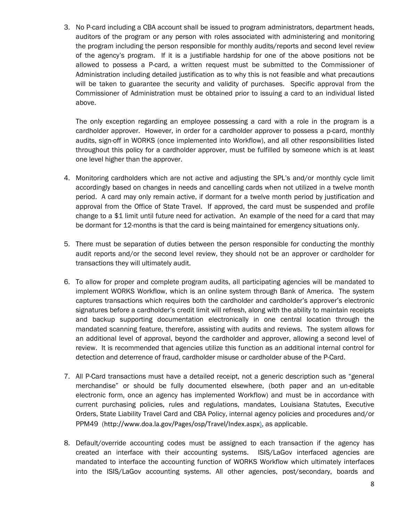3. No P-card including a CBA account shall be issued to program administrators, department heads, auditors of the program or any person with roles associated with administering and monitoring the program including the person responsible for monthly audits/reports and second level review of the agency's program. If it is a justifiable hardship for one of the above positions not be allowed to possess a P-card, a written request must be submitted to the Commissioner of Administration including detailed justification as to why this is not feasible and what precautions will be taken to guarantee the security and validity of purchases. Specific approval from the Commissioner of Administration must be obtained prior to issuing a card to an individual listed above.

The only exception regarding an employee possessing a card with a role in the program is a cardholder approver. However, in order for a cardholder approver to possess a p-card, monthly audits, sign-off in WORKS (once implemented into Workflow), and all other responsibilities listed throughout this policy for a cardholder approver, must be fulfilled by someone which is at least one level higher than the approver.

- 4. Monitoring cardholders which are not active and adjusting the SPL's and/or monthly cycle limit accordingly based on changes in needs and cancelling cards when not utilized in a twelve month period. A card may only remain active, if dormant for a twelve month period by justification and approval from the Office of State Travel. If approved, the card must be suspended and profile change to a \$1 limit until future need for activation. An example of the need for a card that may be dormant for 12-months is that the card is being maintained for emergency situations only.
- 5. There must be separation of duties between the person responsible for conducting the monthly audit reports and/or the second level review, they should not be an approver or cardholder for transactions they will ultimately audit.
- 6. To allow for proper and complete program audits, all participating agencies will be mandated to implement WORKS Workflow, which is an online system through Bank of America. The system captures transactions which requires both the cardholder and cardholder's approver's electronic signatures before a cardholder's credit limit will refresh, along with the ability to maintain receipts and backup supporting documentation electronically in one central location through the mandated scanning feature, therefore, assisting with audits and reviews. The system allows for an additional level of approval, beyond the cardholder and approver, allowing a second level of review. It is recommended that agencies utilize this function as an additional internal control for detection and deterrence of fraud, cardholder misuse or cardholder abuse of the P-Card.
- 7. All P-Card transactions must have a detailed receipt, not a generic description such as "general merchandise" or should be fully documented elsewhere, (both paper and an un-editable electronic form, once an agency has implemented Workflow) and must be in accordance with current purchasing policies, rules and regulations, mandates, Louisiana Statutes, Executive Orders, State Liability Travel Card and CBA Policy, internal agency policies and procedures and/or PPM49 (http://www.doa.la.gov/Pages/osp/Travel/Index.aspx), as applicable.
- 8. Default/override accounting codes must be assigned to each transaction if the agency has created an interface with their accounting systems. ISIS/LaGov interfaced agencies are mandated to interface the accounting function of WORKS Workflow which ultimately interfaces into the ISIS/LaGov accounting systems. All other agencies, post/secondary, boards and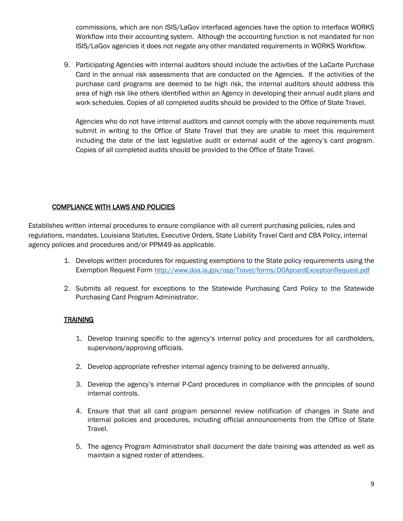commissions, which are non ISIS/LaGov interfaced agencies have the option to interface WORKS Workflow into their accounting system. Although the accounting function is not mandated for non ISIS/LaGov agencies it does not negate any other mandated requirements in WORKS Workflow.

9. Participating Agencies with internal auditors should include the activities of the LaCarte Purchase Card in the annual risk assessments that are conducted on the Agencies. If the activities of the purchase card programs are deemed to be high risk, the internal auditors should address this area of high risk like others identified within an Agency in developing their annual audit plans and work schedules. Copies of all completed audits should be provided to the Office of State Travel.

Agencies who do not have internal auditors and cannot comply with the above requirements must submit in writing to the Office of State Travel that they are unable to meet this requirement including the date of the last legislative audit or external audit of the agency's card program. Copies of all completed audits should be provided to the Office of State Travel.

#### COMPLIANCE WITH LAWS AND POLICIES

Establishes written internal procedures to ensure compliance with all current purchasing policies, rules and regulations, mandates, Louisiana Statutes, Executive Orders, State Liability Travel Card and CBA Policy, internal agency policies and procedures and/or PPM49 as applicable.

- 1. Develops written procedures for requesting exemptions to the State policy requirements using the Exemption Request For[m http://www.doa.la.gov/osp/Travel/forms/DOApcardExceptionRequest.pdf](http://www.doa.la.gov/osp/Travel/forms/DOApcardExceptionRequest.pdf)
- 2. Submits all request for exceptions to the Statewide Purchasing Card Policy to the Statewide Purchasing Card Program Administrator.

### **TRAINING**

- 1. Develop training specific to the agency's internal policy and procedures for all cardholders, supervisors/approving officials.
- 2. Develop appropriate refresher internal agency training to be delivered annually.
- 3. Develop the agency's internal P-Card procedures in compliance with the principles of sound internal controls.
- 4. Ensure that that all card program personnel review notification of changes in State and internal policies and procedures, including official announcements from the Office of State Travel.
- 5. The agency Program Administrator shall document the date training was attended as well as maintain a signed roster of attendees.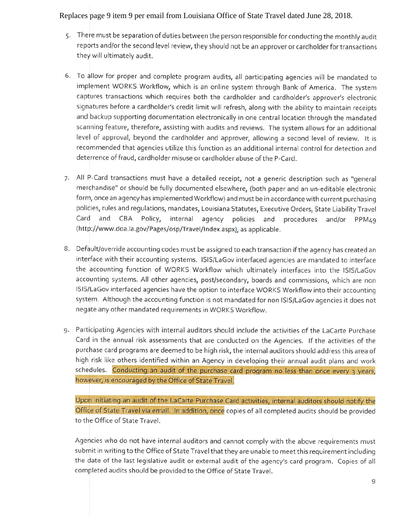### Replaces page 9 item 9 per email from Louisiana Office of State Travel dated June 28, 2018.

- 5. There must be separation of duties between the person responsible for conducting the monthly audit reports and/or the second level review, they should not be an approver or cardholder for transactions they will ultimately audit.
- 6. To allow for proper and complete program audits, all participating agencies will be mandated to implement WORKS Workflow, which is an online system through Bank of America. The system captures transactions which requires both the cardholder and cardholder's approver's electronic signatures before a cardholder's credit limit will refresh, along with the ability to maintain receipts and backup supporting documentation electronically in one central location through the mandated scanning feature, therefore, assisting with audits and reviews. The system allows for an additional level of approval, beyond the cardholder and approver, allowing a second level of review. It is recommended that agencies utilize this function as an additional internal control for detection and deterrence of fraud, cardholder misuse or cardholder abuse of the P-Card.
- 7. All P-Card transactions must have a detailed receipt, not a generic description such as "general merchandise" or should be fully documented elsewhere, (both paper and an un-editable electronic form, once an agency has implemented Workflow) and must be in accordance with current purchasing policies, rules and regulations, mandates, Louisiana Statutes, Executive Orders, State Liability Travel Card and CBA Policy, internal agency policies and procedures and/or PPM49 (http://www.doa.la.gov/Pages/osp/Travel/Index.aspx), as applicable.
- 8. Default/override accounting codes must be assigned to each transaction if the agency has created an interface with their accounting systems. ISIS/LaGov interfaced agencies are mandated to interface the accounting function of WORKS Workflow which ultimately interfaces into the ISIS/LaGov accounting systems. All other agencies, post/secondary, boards and commissions, which are non ISIS/LaGov interfaced agencies have the option to interface WORKS Workflow into their accounting system. Although the accounting function is not mandated for non ISIS/LaGov agencies it does not negate any other mandated requirements in WORKS Workflow.
- 9. Participating Agencies with internal auditors should include the activities of the LaCarte Purchase Card in the annual risk assessments that are conducted on the Agencies. If the activities of the purchase card programs are deemed to be high risk, the internal auditors should address this area of high risk like others identified within an Agency in developing their annual audit plans and work schedules. Conducting an audit of the purchase card program no less than once every 3 years, however, is encouraged by the Office of State Travel.

Upon initiating an audit of the LaCarte Purchase Card activities, internal auditors should notify the Office of State Travel via email. In addition, once copies of all completed audits should be provided to the Office of State Travel.

Agencies who do not have internal auditors and cannot comply with the above requirements must submit in writing to the Office of State Travel that they are unable to meet this requirement including the date of the last legislative audit or external audit of the agency's card program. Copies of all completed audits should be provided to the Office of State Travel.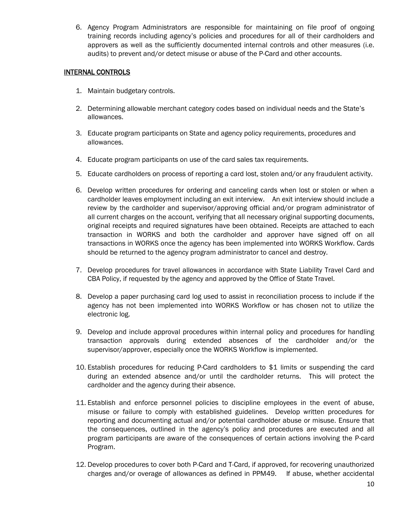6. Agency Program Administrators are responsible for maintaining on file proof of ongoing training records including agency's policies and procedures for all of their cardholders and approvers as well as the sufficiently documented internal controls and other measures (i.e. audits) to prevent and/or detect misuse or abuse of the P-Card and other accounts.

#### INTERNAL CONTROLS

- 1. Maintain budgetary controls.
- 2. Determining allowable merchant category codes based on individual needs and the State's allowances.
- 3. Educate program participants on State and agency policy requirements, procedures and allowances.
- 4. Educate program participants on use of the card sales tax requirements.
- 5. Educate cardholders on process of reporting a card lost, stolen and/or any fraudulent activity.
- 6. Develop written procedures for ordering and canceling cards when lost or stolen or when a cardholder leaves employment including an exit interview. An exit interview should include a review by the cardholder and supervisor/approving official and/or program administrator of all current charges on the account, verifying that all necessary original supporting documents, original receipts and required signatures have been obtained. Receipts are attached to each transaction in WORKS and both the cardholder and approver have signed off on all transactions in WORKS once the agency has been implemented into WORKS Workflow. Cards should be returned to the agency program administrator to cancel and destroy.
- 7. Develop procedures for travel allowances in accordance with State Liability Travel Card and CBA Policy, if requested by the agency and approved by the Office of State Travel.
- 8. Develop a paper purchasing card log used to assist in reconciliation process to include if the agency has not been implemented into WORKS Workflow or has chosen not to utilize the electronic log.
- 9. Develop and include approval procedures within internal policy and procedures for handling transaction approvals during extended absences of the cardholder and/or the supervisor/approver, especially once the WORKS Workflow is implemented.
- 10. Establish procedures for reducing P-Card cardholders to \$1 limits or suspending the card during an extended absence and/or until the cardholder returns. This will protect the cardholder and the agency during their absence.
- 11. Establish and enforce personnel policies to discipline employees in the event of abuse, misuse or failure to comply with established guidelines. Develop written procedures for reporting and documenting actual and/or potential cardholder abuse or misuse. Ensure that the consequences, outlined in the agency's policy and procedures are executed and all program participants are aware of the consequences of certain actions involving the P-card Program.
- 12. Develop procedures to cover both P-Card and T-Card, if approved, for recovering unauthorized charges and/or overage of allowances as defined in PPM49. If abuse, whether accidental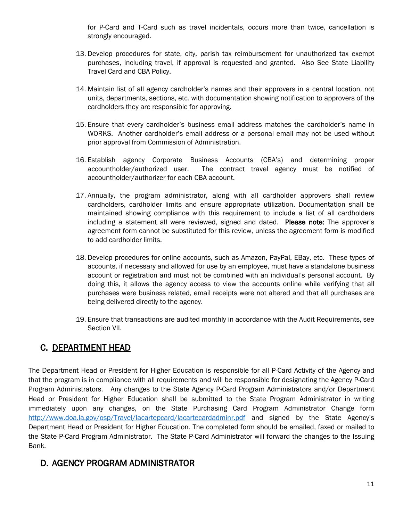for P-Card and T-Card such as travel incidentals, occurs more than twice, cancellation is strongly encouraged.

- 13. Develop procedures for state, city, parish tax reimbursement for unauthorized tax exempt purchases, including travel, if approval is requested and granted. Also See State Liability Travel Card and CBA Policy.
- 14. Maintain list of all agency cardholder's names and their approvers in a central location, not units, departments, sections, etc. with documentation showing notification to approvers of the cardholders they are responsible for approving.
- 15. Ensure that every cardholder's business email address matches the cardholder's name in WORKS. Another cardholder's email address or a personal email may not be used without prior approval from Commission of Administration.
- 16. Establish agency Corporate Business Accounts (CBA's) and determining proper accountholder/authorized user. The contract travel agency must be notified of accountholder/authorizer for each CBA account.
- 17. Annually, the program administrator, along with all cardholder approvers shall review cardholders, cardholder limits and ensure appropriate utilization. Documentation shall be maintained showing compliance with this requirement to include a list of all cardholders including a statement all were reviewed, signed and dated. Please note: The approver's agreement form cannot be substituted for this review, unless the agreement form is modified to add cardholder limits.
- 18. Develop procedures for online accounts, such as Amazon, PayPal, EBay, etc. These types of accounts, if necessary and allowed for use by an employee, must have a standalone business account or registration and must not be combined with an individual's personal account. By doing this, it allows the agency access to view the accounts online while verifying that all purchases were business related, email receipts were not altered and that all purchases are being delivered directly to the agency.
- 19. Ensure that transactions are audited monthly in accordance with the Audit Requirements, see Section VII.

### C. <u>DEPARTMENT HEAD</u>

The Department Head or President for Higher Education is responsible for all P-Card Activity of the Agency and that the program is in compliance with all requirements and will be responsible for designating the Agency P-Card Program Administrators. Any changes to the State Agency P-Card Program Administrators and/or Department Head or President for Higher Education shall be submitted to the State Program Administrator in writing immediately upon any changes, on the State Purchasing Card Program Administrator Change form <http://www.doa.la.gov/osp/Travel/lacartepcard/lacartecardadminr.pdf> and signed by the State Agency's Department Head or President for Higher Education. The completed form should be emailed, faxed or mailed to the State P-Card Program Administrator. The State P-Card Administrator will forward the changes to the Issuing Bank.

### D. AGENCY PROGRAM ADMINISTRATOR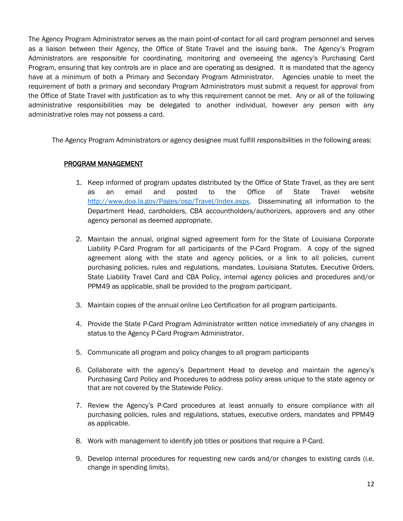The Agency Program Administrator serves as the main point-of-contact for all card program personnel and serves as a liaison between their Agency, the Office of State Travel and the issuing bank. The Agency's Program Administrators are responsible for coordinating, monitoring and overseeing the agency's Purchasing Card Program, ensuring that key controls are in place and are operating as designed. It is mandated that the agency have at a minimum of both a Primary and Secondary Program Administrator. Agencies unable to meet the requirement of both a primary and secondary Program Administrators must submit a request for approval from the Office of State Travel with justification as to why this requirement cannot be met. Any or all of the following administrative responsibilities may be delegated to another individual, however any person with any administrative roles may not possess a card.

The Agency Program Administrators or agency designee must fulfill responsibilities in the following areas:

#### PROGRAM MANAGEMENT

- 1. Keep informed of program updates distributed by the Office of State Travel, as they are sent as an email and posted to the Office of State Travel website [http://www.doa.la.gov/Pages/osp/Travel/Index.aspx.](http://www.doa.la.gov/Pages/osp/Travel/Index.aspx) Disseminating all information to the Department Head, cardholders, CBA accountholders/authorizers, approvers and any other agency personal as deemed appropriate.
- 2. Maintain the annual, original signed agreement form for the State of Louisiana Corporate Liability P-Card Program for all participants of the P-Card Program. A copy of the signed agreement along with the state and agency policies, or a link to all policies, current purchasing policies, rules and regulations, mandates, Louisiana Statutes, Executive Orders, State Liability Travel Card and CBA Policy, internal agency policies and procedures and/or PPM49 as applicable, shall be provided to the program participant.
- 3. Maintain copies of the annual online Leo Certification for all program participants.
- 4. Provide the State P-Card Program Administrator written notice immediately of any changes in status to the Agency P-Card Program Administrator.
- 5. Communicate all program and policy changes to all program participants
- 6. Collaborate with the agency's Department Head to develop and maintain the agency's Purchasing Card Policy and Procedures to address policy areas unique to the state agency or that are not covered by the Statewide Policy.
- 7. Review the Agency's P-Card procedures at least annually to ensure compliance with all purchasing policies, rules and regulations, statues, executive orders, mandates and PPM49 as applicable.
- 8. Work with management to identify job titles or positions that require a P-Card.
- 9. Develop internal procedures for requesting new cards and/or changes to existing cards (i.e. change in spending limits).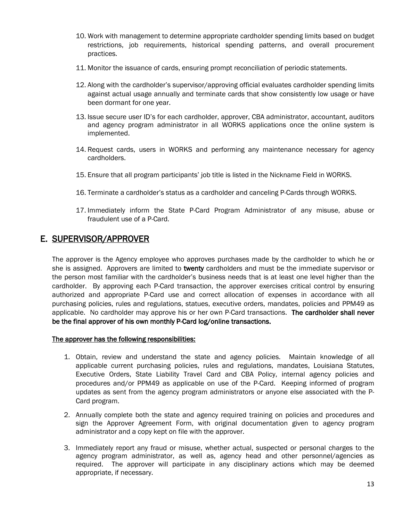- 10. Work with management to determine appropriate cardholder spending limits based on budget restrictions, job requirements, historical spending patterns, and overall procurement practices.
- 11. Monitor the issuance of cards, ensuring prompt reconciliation of periodic statements.
- 12. Along with the cardholder's supervisor/approving official evaluates cardholder spending limits against actual usage annually and terminate cards that show consistently low usage or have been dormant for one year.
- 13. Issue secure user ID's for each cardholder, approver, CBA administrator, accountant, auditors and agency program administrator in all WORKS applications once the online system is implemented.
- 14. Request cards, users in WORKS and performing any maintenance necessary for agency cardholders.
- 15. Ensure that all program participants' job title is listed in the Nickname Field in WORKS.
- 16. Terminate a cardholder's status as a cardholder and canceling P-Cards through WORKS.
- 17. Immediately inform the State P-Card Program Administrator of any misuse, abuse or fraudulent use of a P-Card.

### E. SUPERVISOR/APPROVER

The approver is the Agency employee who approves purchases made by the cardholder to which he or she is assigned. Approvers are limited to twenty cardholders and must be the immediate supervisor or the person most familiar with the cardholder's business needs that is at least one level higher than the cardholder. By approving each P-Card transaction, the approver exercises critical control by ensuring authorized and appropriate P-Card use and correct allocation of expenses in accordance with all purchasing policies, rules and regulations, statues, executive orders, mandates, policies and PPM49 as applicable. No cardholder may approve his or her own P-Card transactions. The cardholder shall never be the final approver of his own monthly P-Card log/online transactions.

#### The approver has the following responsibilities:

- 1. Obtain, review and understand the state and agency policies. Maintain knowledge of all applicable current purchasing policies, rules and regulations, mandates, Louisiana Statutes, Executive Orders, State Liability Travel Card and CBA Policy, internal agency policies and procedures and/or PPM49 as applicable on use of the P-Card. Keeping informed of program updates as sent from the agency program administrators or anyone else associated with the P-Card program.
- 2. Annually complete both the state and agency required training on policies and procedures and sign the Approver Agreement Form, with original documentation given to agency program administrator and a copy kept on file with the approver.
- 3. Immediately report any fraud or misuse, whether actual, suspected or personal charges to the agency program administrator, as well as, agency head and other personnel/agencies as required. The approver will participate in any disciplinary actions which may be deemed appropriate, if necessary.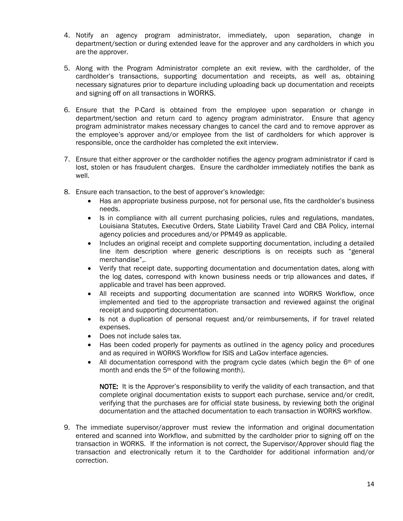- 4. Notify an agency program administrator, immediately, upon separation, change in department/section or during extended leave for the approver and any cardholders in which you are the approver.
- 5. Along with the Program Administrator complete an exit review, with the cardholder, of the cardholder's transactions, supporting documentation and receipts, as well as, obtaining necessary signatures prior to departure including uploading back up documentation and receipts and signing off on all transactions in WORKS.
- 6. Ensure that the P-Card is obtained from the employee upon separation or change in department/section and return card to agency program administrator. Ensure that agency program administrator makes necessary changes to cancel the card and to remove approver as the employee's approver and/or employee from the list of cardholders for which approver is responsible, once the cardholder has completed the exit interview.
- 7. Ensure that either approver or the cardholder notifies the agency program administrator if card is lost, stolen or has fraudulent charges. Ensure the cardholder immediately notifies the bank as well.
- 8. Ensure each transaction, to the best of approver's knowledge:
	- Has an appropriate business purpose, not for personal use, fits the cardholder's business needs.
	- Is in compliance with all current purchasing policies, rules and regulations, mandates, Louisiana Statutes, Executive Orders, State Liability Travel Card and CBA Policy, internal agency policies and procedures and/or PPM49 as applicable.
	- Includes an original receipt and complete supporting documentation, including a detailed line item description where generic descriptions is on receipts such as "general merchandise",.
	- Verify that receipt date, supporting documentation and documentation dates, along with the log dates, correspond with known business needs or trip allowances and dates, if applicable and travel has been approved.
	- All receipts and supporting documentation are scanned into WORKS Workflow, once implemented and tied to the appropriate transaction and reviewed against the original receipt and supporting documentation.
	- Is not a duplication of personal request and/or reimbursements, if for travel related expenses.
	- Does not include sales tax.
	- Has been coded properly for payments as outlined in the agency policy and procedures and as required in WORKS Workflow for ISIS and LaGov interface agencies.
	- All documentation correspond with the program cycle dates (which begin the  $6<sup>th</sup>$  of one month and ends the 5th of the following month).

NOTE: It is the Approver's responsibility to verify the validity of each transaction, and that complete original documentation exists to support each purchase, service and/or credit, verifying that the purchases are for official state business, by reviewing both the original documentation and the attached documentation to each transaction in WORKS workflow.

9. The immediate supervisor/approver must review the information and original documentation entered and scanned into Workflow, and submitted by the cardholder prior to signing off on the transaction in WORKS. If the information is not correct, the Supervisor/Approver should flag the transaction and electronically return it to the Cardholder for additional information and/or correction.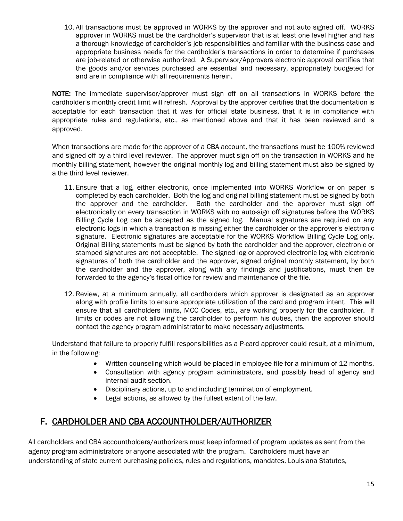10. All transactions must be approved in WORKS by the approver and not auto signed off. WORKS approver in WORKS must be the cardholder's supervisor that is at least one level higher and has a thorough knowledge of cardholder's job responsibilities and familiar with the business case and appropriate business needs for the cardholder's transactions in order to determine if purchases are job-related or otherwise authorized. A Supervisor/Approvers electronic approval certifies that the goods and/or services purchased are essential and necessary, appropriately budgeted for and are in compliance with all requirements herein.

NOTE: The immediate supervisor/approver must sign off on all transactions in WORKS before the cardholder's monthly credit limit will refresh. Approval by the approver certifies that the documentation is acceptable for each transaction that it was for official state business, that it is in compliance with appropriate rules and regulations, etc., as mentioned above and that it has been reviewed and is approved.

When transactions are made for the approver of a CBA account, the transactions must be 100% reviewed and signed off by a third level reviewer. The approver must sign off on the transaction in WORKS and he monthly billing statement, however the original monthly log and billing statement must also be signed by a the third level reviewer.

- 11. Ensure that a log, either electronic, once implemented into WORKS Workflow or on paper is completed by each cardholder. Both the log and original billing statement must be signed by both the approver and the cardholder. Both the cardholder and the approver must sign off electronically on every transaction in WORKS with no auto-sign off signatures before the WORKS Billing Cycle Log can be accepted as the signed log. Manual signatures are required on any electronic logs in which a transaction is missing either the cardholder or the approver's electronic signature. Electronic signatures are acceptable for the WORKS Workflow Billing Cycle Log only. Original Billing statements must be signed by both the cardholder and the approver, electronic or stamped signatures are not acceptable. The signed log or approved electronic log with electronic signatures of both the cardholder and the approver, signed original monthly statement, by both the cardholder and the approver, along with any findings and justifications, must then be forwarded to the agency's fiscal office for review and maintenance of the file.
- 12. Review, at a minimum annually, all cardholders which approver is designated as an approver along with profile limits to ensure appropriate utilization of the card and program intent. This will ensure that all cardholders limits, MCC Codes, etc., are working properly for the cardholder. If limits or codes are not allowing the cardholder to perform his duties, then the approver should contact the agency program administrator to make necessary adjustments.

Understand that failure to properly fulfill responsibilities as a P-card approver could result, at a minimum, in the following:

- Written counseling which would be placed in employee file for a minimum of 12 months.
- Consultation with agency program administrators, and possibly head of agency and internal audit section.
- Disciplinary actions, up to and including termination of employment.
- Legal actions, as allowed by the fullest extent of the law.

### F. CARDHOLDER AND CBA ACCOUNTHOLDER/AUTHORIZER

All cardholders and CBA accountholders/authorizers must keep informed of program updates as sent from the agency program administrators or anyone associated with the program. Cardholders must have an understanding of state current purchasing policies, rules and regulations, mandates, Louisiana Statutes,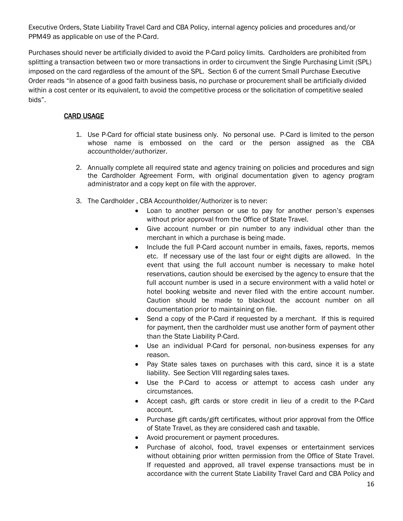Executive Orders, State Liability Travel Card and CBA Policy, internal agency policies and procedures and/or PPM49 as applicable on use of the P-Card.

Purchases should never be artificially divided to avoid the P-Card policy limits. Cardholders are prohibited from splitting a transaction between two or more transactions in order to circumvent the Single Purchasing Limit (SPL) imposed on the card regardless of the amount of the SPL. Section 6 of the current Small Purchase Executive Order reads "In absence of a good faith business basis, no purchase or procurement shall be artificially divided within a cost center or its equivalent, to avoid the competitive process or the solicitation of competitive sealed bids".

### CARD USAGE

- 1. Use P-Card for official state business only. No personal use. P-Card is limited to the person whose name is embossed on the card or the person assigned as the CBA accountholder/authorizer.
- 2. Annually complete all required state and agency training on policies and procedures and sign the Cardholder Agreement Form, with original documentation given to agency program administrator and a copy kept on file with the approver.
- 3. The Cardholder , CBA Accountholder/Authorizer is to never:
	- Loan to another person or use to pay for another person's expenses without prior approval from the Office of State Travel.
	- Give account number or pin number to any individual other than the merchant in which a purchase is being made.
	- Include the full P-Card account number in emails, faxes, reports, memos etc. If necessary use of the last four or eight digits are allowed. In the event that using the full account number is necessary to make hotel reservations, caution should be exercised by the agency to ensure that the full account number is used in a secure environment with a valid hotel or hotel booking website and never filed with the entire account number. Caution should be made to blackout the account number on all documentation prior to maintaining on file.
	- Send a copy of the P-Card if requested by a merchant. If this is required for payment, then the cardholder must use another form of payment other than the State Liability P-Card.
	- Use an individual P-Card for personal, non-business expenses for any reason.
	- Pay State sales taxes on purchases with this card, since it is a state liability. See Section VIII regarding sales taxes.
	- Use the P-Card to access or attempt to access cash under any circumstances.
	- Accept cash, gift cards or store credit in lieu of a credit to the P-Card account.
	- Purchase gift cards/gift certificates, without prior approval from the Office of State Travel, as they are considered cash and taxable.
	- Avoid procurement or payment procedures.
	- Purchase of alcohol, food, travel expenses or entertainment services without obtaining prior written permission from the Office of State Travel. If requested and approved, all travel expense transactions must be in accordance with the current State Liability Travel Card and CBA Policy and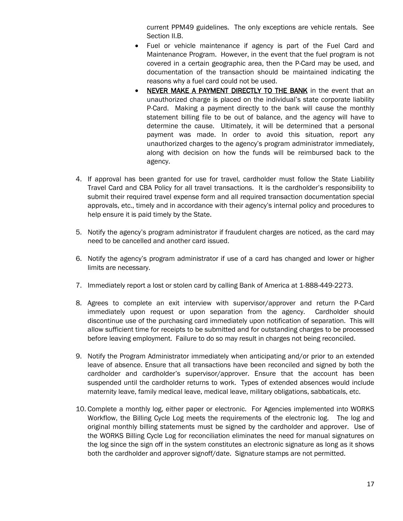current PPM49 guidelines. The only exceptions are vehicle rentals. See Section II.B.

- Fuel or vehicle maintenance if agency is part of the Fuel Card and Maintenance Program. However, in the event that the fuel program is not covered in a certain geographic area, then the P-Card may be used, and documentation of the transaction should be maintained indicating the reasons why a fuel card could not be used.
- NEVER MAKE A PAYMENT DIRECTLY TO THE BANK in the event that an unauthorized charge is placed on the individual's state corporate liability P-Card. Making a payment directly to the bank will cause the monthly statement billing file to be out of balance, and the agency will have to determine the cause. Ultimately, it will be determined that a personal payment was made. In order to avoid this situation, report any unauthorized charges to the agency's program administrator immediately, along with decision on how the funds will be reimbursed back to the agency.
- 4. If approval has been granted for use for travel, cardholder must follow the State Liability Travel Card and CBA Policy for all travel transactions. It is the cardholder's responsibility to submit their required travel expense form and all required transaction documentation special approvals, etc., timely and in accordance with their agency's internal policy and procedures to help ensure it is paid timely by the State.
- 5. Notify the agency's program administrator if fraudulent charges are noticed, as the card may need to be cancelled and another card issued.
- 6. Notify the agency's program administrator if use of a card has changed and lower or higher limits are necessary.
- 7. Immediately report a lost or stolen card by calling Bank of America at 1-888-449-2273.
- 8. Agrees to complete an exit interview with supervisor/approver and return the P-Card immediately upon request or upon separation from the agency. Cardholder should discontinue use of the purchasing card immediately upon notification of separation. This will allow sufficient time for receipts to be submitted and for outstanding charges to be processed before leaving employment. Failure to do so may result in charges not being reconciled.
- 9. Notify the Program Administrator immediately when anticipating and/or prior to an extended leave of absence. Ensure that all transactions have been reconciled and signed by both the cardholder and cardholder's supervisor/approver. Ensure that the account has been suspended until the cardholder returns to work. Types of extended absences would include maternity leave, family medical leave, medical leave, military obligations, sabbaticals, etc.
- 10. Complete a monthly log, either paper or electronic. For Agencies implemented into WORKS Workflow, the Billing Cycle Log meets the requirements of the electronic log. The log and original monthly billing statements must be signed by the cardholder and approver. Use of the WORKS Billing Cycle Log for reconciliation eliminates the need for manual signatures on the log since the sign off in the system constitutes an electronic signature as long as it shows both the cardholder and approver signoff/date. Signature stamps are not permitted.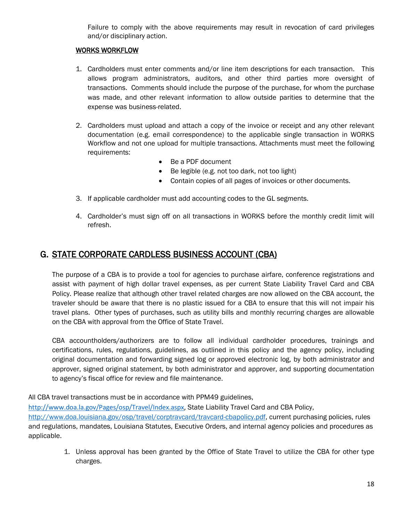Failure to comply with the above requirements may result in revocation of card privileges and/or disciplinary action.

### WORKS WORKFLOW

- 1. Cardholders must enter comments and/or line item descriptions for each transaction. This allows program administrators, auditors, and other third parties more oversight of transactions. Comments should include the purpose of the purchase, for whom the purchase was made, and other relevant information to allow outside parities to determine that the expense was business-related.
- 2. Cardholders must upload and attach a copy of the invoice or receipt and any other relevant documentation (e.g. email correspondence) to the applicable single transaction in WORKS Workflow and not one upload for multiple transactions. Attachments must meet the following requirements:
	- Be a PDF document
	- Be legible (e.g. not too dark, not too light)
	- Contain copies of all pages of invoices or other documents.
- 3. If applicable cardholder must add accounting codes to the GL segments.
- 4. Cardholder's must sign off on all transactions in WORKS before the monthly credit limit will refresh.

### G. STATE CORPORATE CARDLESS BUSINESS ACCOUNT (CBA)

The purpose of a CBA is to provide a tool for agencies to purchase airfare, conference registrations and assist with payment of high dollar travel expenses, as per current State Liability Travel Card and CBA Policy. Please realize that although other travel related charges are now allowed on the CBA account, the traveler should be aware that there is no plastic issued for a CBA to ensure that this will not impair his travel plans. Other types of purchases, such as utility bills and monthly recurring charges are allowable on the CBA with approval from the Office of State Travel.

CBA accountholders/authorizers are to follow all individual cardholder procedures, trainings and certifications, rules, regulations, guidelines, as outlined in this policy and the agency policy, including original documentation and forwarding signed log or approved electronic log, by both administrator and approver, signed original statement, by both administrator and approver, and supporting documentation to agency's fiscal office for review and file maintenance.

All CBA travel transactions must be in accordance with PPM49 guidelines,

[http://www.doa.la.gov/Pages/osp/Travel/Index.aspx,](http://www.doa.la.gov/Pages/osp/Travel/Index.aspx) State Liability Travel Card and CBA Policy, [http://www.doa.louisiana.gov/osp/travel/corptravcard/travcard-cbapolicy.pdf,](http://www.doa.louisiana.gov/osp/travel/corptravcard/travcard-cbapolicy.pdf) current purchasing policies, rules and regulations, mandates, Louisiana Statutes, Executive Orders, and internal agency policies and procedures as applicable.

> 1. Unless approval has been granted by the Office of State Travel to utilize the CBA for other type charges.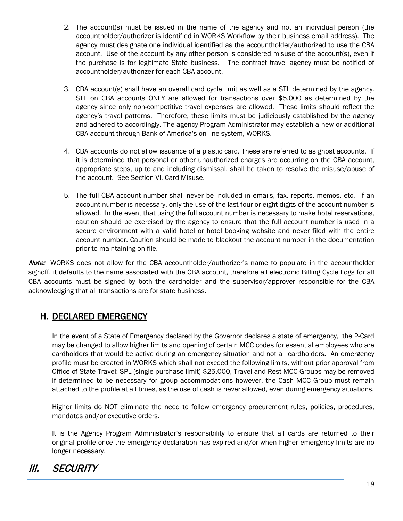- 2. The account(s) must be issued in the name of the agency and not an individual person (the accountholder/authorizer is identified in WORKS Workflow by their business email address). The agency must designate one individual identified as the accountholder/authorized to use the CBA account. Use of the account by any other person is considered misuse of the account(s), even if the purchase is for legitimate State business. The contract travel agency must be notified of accountholder/authorizer for each CBA account.
- 3. CBA account(s) shall have an overall card cycle limit as well as a STL determined by the agency. STL on CBA accounts ONLY are allowed for transactions over \$5,000 as determined by the agency since only non-competitive travel expenses are allowed. These limits should reflect the agency's travel patterns. Therefore, these limits must be judiciously established by the agency and adhered to accordingly. The agency Program Administrator may establish a new or additional CBA account through Bank of America's on-line system, WORKS.
- 4. CBA accounts do not allow issuance of a plastic card. These are referred to as ghost accounts. If it is determined that personal or other unauthorized charges are occurring on the CBA account, appropriate steps, up to and including dismissal, shall be taken to resolve the misuse/abuse of the account. See Section VI, Card Misuse.
- 5. The full CBA account number shall never be included in emails, fax, reports, memos, etc. If an account number is necessary, only the use of the last four or eight digits of the account number is allowed. In the event that using the full account number is necessary to make hotel reservations, caution should be exercised by the agency to ensure that the full account number is used in a secure environment with a valid hotel or hotel booking website and never filed with the entire account number. Caution should be made to blackout the account number in the documentation prior to maintaining on file.

Note: WORKS does not allow for the CBA accountholder/authorizer's name to populate in the accountholder signoff, it defaults to the name associated with the CBA account, therefore all electronic Billing Cycle Logs for all CBA accounts must be signed by both the cardholder and the supervisor/approver responsible for the CBA acknowledging that all transactions are for state business.

### H. DECLARED EMERGENCY

In the event of a State of Emergency declared by the Governor declares a state of emergency, the P-Card may be changed to allow higher limits and opening of certain MCC codes for essential employees who are cardholders that would be active during an emergency situation and not all cardholders. An emergency profile must be created in WORKS which shall not exceed the following limits, without prior approval from Office of State Travel: SPL (single purchase limit) \$25,000, Travel and Rest MCC Groups may be removed if determined to be necessary for group accommodations however, the Cash MCC Group must remain attached to the profile at all times, as the use of cash is never allowed, even during emergency situations.

Higher limits do NOT eliminate the need to follow emergency procurement rules, policies, procedures, mandates and/or executive orders.

It is the Agency Program Administrator's responsibility to ensure that all cards are returned to their original profile once the emergency declaration has expired and/or when higher emergency limits are no longer necessary.

# III. SECURITY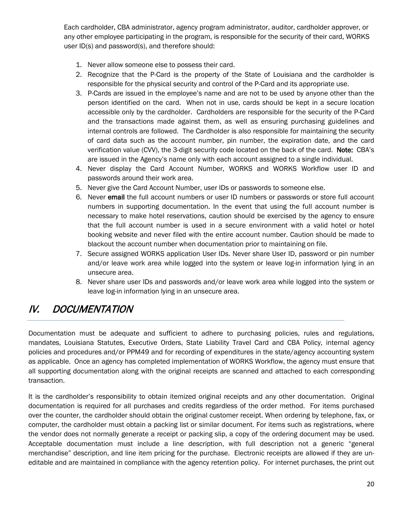Each cardholder, CBA administrator, agency program administrator, auditor, cardholder approver, or any other employee participating in the program, is responsible for the security of their card, WORKS user ID(s) and password(s), and therefore should:

- 1. Never allow someone else to possess their card.
- 2. Recognize that the P-Card is the property of the State of Louisiana and the cardholder is responsible for the physical security and control of the P-Card and its appropriate use.
- 3. P-Cards are issued in the employee's name and are not to be used by anyone other than the person identified on the card. When not in use, cards should be kept in a secure location accessible only by the cardholder. Cardholders are responsible for the security of the P-Card and the transactions made against them, as well as ensuring purchasing guidelines and internal controls are followed. The Cardholder is also responsible for maintaining the security of card data such as the account number, pin number, the expiration date, and the card verification value (CVV), the 3-digit security code located on the back of the card. Note: CBA's are issued in the Agency's name only with each account assigned to a single individual.
- 4. Never display the Card Account Number, WORKS and WORKS Workflow user ID and passwords around their work area.
- 5. Never give the Card Account Number, user IDs or passwords to someone else.
- 6. Never email the full account numbers or user ID numbers or passwords or store full account numbers in supporting documentation. In the event that using the full account number is necessary to make hotel reservations, caution should be exercised by the agency to ensure that the full account number is used in a secure environment with a valid hotel or hotel booking website and never filed with the entire account number. Caution should be made to blackout the account number when documentation prior to maintaining on file.
- 7. Secure assigned WORKS application User IDs. Never share User ID, password or pin number and/or leave work area while logged into the system or leave log-in information lying in an unsecure area.
- 8. Never share user IDs and passwords and/or leave work area while logged into the system or leave log-in information lying in an unsecure area.

# IV. DOCUMENTATION

Documentation must be adequate and sufficient to adhere to purchasing policies, rules and regulations, mandates, Louisiana Statutes, Executive Orders, State Liability Travel Card and CBA Policy, internal agency policies and procedures and/or PPM49 and for recording of expenditures in the state/agency accounting system as applicable. Once an agency has completed implementation of WORKS Workflow, the agency must ensure that all supporting documentation along with the original receipts are scanned and attached to each corresponding transaction.

It is the cardholder's responsibility to obtain itemized original receipts and any other documentation. Original documentation is required for all purchases and credits regardless of the order method. For items purchased over the counter, the cardholder should obtain the original customer receipt. When ordering by telephone, fax, or computer, the cardholder must obtain a packing list or similar document. For items such as registrations, where the vendor does not normally generate a receipt or packing slip, a copy of the ordering document may be used. Acceptable documentation must include a line description, with full description not a generic "general merchandise" description, and line item pricing for the purchase. Electronic receipts are allowed if they are uneditable and are maintained in compliance with the agency retention policy. For internet purchases, the print out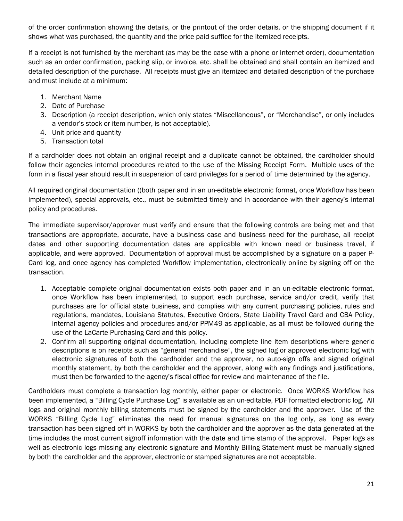of the order confirmation showing the details, or the printout of the order details, or the shipping document if it shows what was purchased, the quantity and the price paid suffice for the itemized receipts.

If a receipt is not furnished by the merchant (as may be the case with a phone or Internet order), documentation such as an order confirmation, packing slip, or invoice, etc. shall be obtained and shall contain an itemized and detailed description of the purchase. All receipts must give an itemized and detailed description of the purchase and must include at a minimum:

- 1. Merchant Name
- 2. Date of Purchase
- 3. Description (a receipt description, which only states "Miscellaneous", or "Merchandise", or only includes a vendor's stock or item number, is not acceptable).
- 4. Unit price and quantity
- 5. Transaction total

If a cardholder does not obtain an original receipt and a duplicate cannot be obtained, the cardholder should follow their agencies internal procedures related to the use of the Missing Receipt Form. Multiple uses of the form in a fiscal year should result in suspension of card privileges for a period of time determined by the agency.

All required original documentation ((both paper and in an un-editable electronic format, once Workflow has been implemented), special approvals, etc., must be submitted timely and in accordance with their agency's internal policy and procedures.

The immediate supervisor/approver must verify and ensure that the following controls are being met and that transactions are appropriate, accurate, have a business case and business need for the purchase, all receipt dates and other supporting documentation dates are applicable with known need or business travel, if applicable, and were approved. Documentation of approval must be accomplished by a signature on a paper P-Card log, and once agency has completed Workflow implementation, electronically online by signing off on the transaction.

- 1. Acceptable complete original documentation exists both paper and in an un-editable electronic format, once Workflow has been implemented, to support each purchase, service and/or credit, verify that purchases are for official state business, and complies with any current purchasing policies, rules and regulations, mandates, Louisiana Statutes, Executive Orders, State Liability Travel Card and CBA Policy, internal agency policies and procedures and/or PPM49 as applicable, as all must be followed during the use of the LaCarte Purchasing Card and this policy.
- 2. Confirm all supporting original documentation, including complete line item descriptions where generic descriptions is on receipts such as "general merchandise", the signed log or approved electronic log with electronic signatures of both the cardholder and the approver, no auto-sign offs and signed original monthly statement, by both the cardholder and the approver, along with any findings and justifications, must then be forwarded to the agency's fiscal office for review and maintenance of the file.

Cardholders must complete a transaction log monthly, either paper or electronic. Once WORKS Workflow has been implemented, a "Billing Cycle Purchase Log" is available as an un-editable, PDF formatted electronic log. All logs and original monthly billing statements must be signed by the cardholder and the approver. Use of the WORKS "Billing Cycle Log" eliminates the need for manual signatures on the log only, as long as every transaction has been signed off in WORKS by both the cardholder and the approver as the data generated at the time includes the most current signoff information with the date and time stamp of the approval. Paper logs as well as electronic logs missing any electronic signature and Monthly Billing Statement must be manually signed by both the cardholder and the approver, electronic or stamped signatures are not acceptable.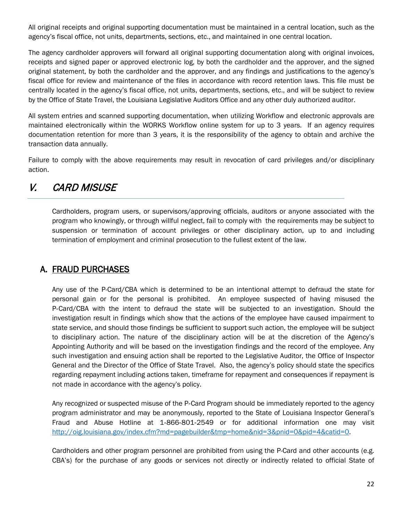All original receipts and original supporting documentation must be maintained in a central location, such as the agency's fiscal office, not units, departments, sections, etc., and maintained in one central location.

The agency cardholder approvers will forward all original supporting documentation along with original invoices, receipts and signed paper or approved electronic log, by both the cardholder and the approver, and the signed original statement, by both the cardholder and the approver, and any findings and justifications to the agency's fiscal office for review and maintenance of the files in accordance with record retention laws. This file must be centrally located in the agency's fiscal office, not units, departments, sections, etc., and will be subject to review by the Office of State Travel, the Louisiana Legislative Auditors Office and any other duly authorized auditor.

All system entries and scanned supporting documentation, when utilizing Workflow and electronic approvals are maintained electronically within the WORKS Workflow online system for up to 3 years. If an agency requires documentation retention for more than 3 years, it is the responsibility of the agency to obtain and archive the transaction data annually.

Failure to comply with the above requirements may result in revocation of card privileges and/or disciplinary action.

# V. CARD MISUSE

Cardholders, program users, or supervisors/approving officials, auditors or anyone associated with the program who knowingly, or through willful neglect, fail to comply with the requirements may be subject to suspension or termination of account privileges or other disciplinary action, up to and including termination of employment and criminal prosecution to the fullest extent of the law.

### A. FRAUD PURCHASES

Any use of the P-Card/CBA which is determined to be an intentional attempt to defraud the state for personal gain or for the personal is prohibited. An employee suspected of having misused the P‐Card/CBA with the intent to defraud the state will be subjected to an investigation. Should the investigation result in findings which show that the actions of the employee have caused impairment to state service, and should those findings be sufficient to support such action, the employee will be subject to disciplinary action. The nature of the disciplinary action will be at the discretion of the Agency's Appointing Authority and will be based on the investigation findings and the record of the employee. Any such investigation and ensuing action shall be reported to the Legislative Auditor, the Office of Inspector General and the Director of the Office of State Travel. Also, the agency's policy should state the specifics regarding repayment including actions taken, timeframe for repayment and consequences if repayment is not made in accordance with the agency's policy.

Any recognized or suspected misuse of the P‐Card Program should be immediately reported to the agency program administrator and may be anonymously, reported to the State of Louisiana Inspector General's Fraud and Abuse Hotline at 1‐866‐801‐2549 or for additional information one may visit [http://oig.louisiana.gov/index.cfm?md=pagebuilder&tmp=home&nid=3&pnid=0&pid=4&catid=0.](http://oig.louisiana.gov/index.cfm?md=pagebuilder&tmp=home&nid=3&pnid=0&pid=4&catid=0)

Cardholders and other program personnel are prohibited from using the P-Card and other accounts (e.g. CBA's) for the purchase of any goods or services not directly or indirectly related to official State of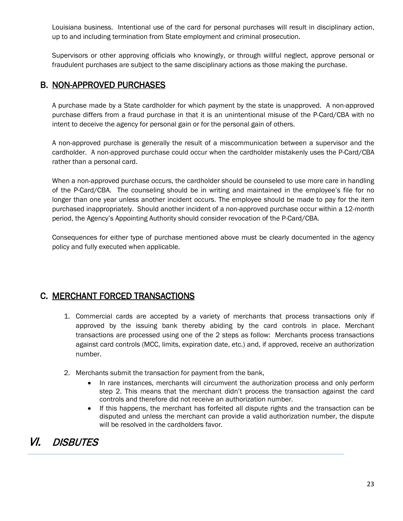Louisiana business. Intentional use of the card for personal purchases will result in disciplinary action, up to and including termination from State employment and criminal prosecution.

Supervisors or other approving officials who knowingly, or through willful neglect, approve personal or fraudulent purchases are subject to the same disciplinary actions as those making the purchase.

### B. NON-APPROVED PURCHASES

A purchase made by a State cardholder for which payment by the state is unapproved. A non-approved purchase differs from a fraud purchase in that it is an unintentional misuse of the P-Card/CBA with no intent to deceive the agency for personal gain or for the personal gain of others.

A non-approved purchase is generally the result of a miscommunication between a supervisor and the cardholder. A non-approved purchase could occur when the cardholder mistakenly uses the P-Card/CBA rather than a personal card.

When a non-approved purchase occurs, the cardholder should be counseled to use more care in handling of the P-Card/CBA. The counseling should be in writing and maintained in the employee's file for no longer than one year unless another incident occurs. The employee should be made to pay for the item purchased inappropriately. Should another incident of a non-approved purchase occur within a 12-month period, the Agency's Appointing Authority should consider revocation of the P-Card/CBA.

Consequences for either type of purchase mentioned above must be clearly documented in the agency policy and fully executed when applicable.

### C. MERCHANT FORCED TRANSACTIONS

- 1. Commercial cards are accepted by a variety of merchants that process transactions only if approved by the issuing bank thereby abiding by the card controls in place. Merchant transactions are processed using one of the 2 steps as follow: Merchants process transactions against card controls (MCC, limits, expiration date, etc.) and, if approved, receive an authorization number.
- 2. Merchants submit the transaction for payment from the bank,
	- In rare instances, merchants will circumvent the authorization process and only perform step 2. This means that the merchant didn't process the transaction against the card controls and therefore did not receive an authorization number.
	- If this happens, the merchant has forfeited all dispute rights and the transaction can be disputed and unless the merchant can provide a valid authorization number, the dispute will be resolved in the cardholders favor.

# VI. DISBUTES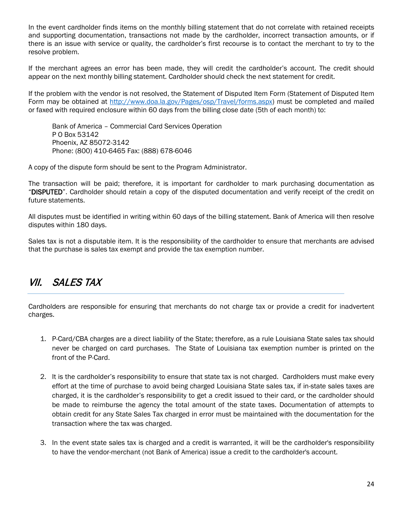In the event cardholder finds items on the monthly billing statement that do not correlate with retained receipts and supporting documentation, transactions not made by the cardholder, incorrect transaction amounts, or if there is an issue with service or quality, the cardholder's first recourse is to contact the merchant to try to the resolve problem.

If the merchant agrees an error has been made, they will credit the cardholder's account. The credit should appear on the next monthly billing statement. Cardholder should check the next statement for credit.

If the problem with the vendor is not resolved, the Statement of Disputed Item Form (Statement of Disputed Item Form may be obtained at [http://www.doa.la.gov/Pages/osp/Travel/forms.aspx\)](http://www.doa.la.gov/Pages/osp/Travel/forms.aspx) must be completed and mailed or faxed with required enclosure within 60 days from the billing close date (5th of each month) to:

Bank of America – Commercial Card Services Operation P O Box 53142 Phoenix, AZ 85072-3142 Phone: (800) 410-6465 Fax: (888) 678-6046

A copy of the dispute form should be sent to the Program Administrator.

The transaction will be paid; therefore, it is important for cardholder to mark purchasing documentation as "DISPUTED". Cardholder should retain a copy of the disputed documentation and verify receipt of the credit on future statements.

All disputes must be identified in writing within 60 days of the billing statement. Bank of America will then resolve disputes within 180 days.

Sales tax is not a disputable item. It is the responsibility of the cardholder to ensure that merchants are advised that the purchase is sales tax exempt and provide the tax exemption number.

# VII. SALES TAX

Cardholders are responsible for ensuring that merchants do not charge tax or provide a credit for inadvertent charges.

- 1. P-Card/CBA charges are a direct liability of the State; therefore, as a rule Louisiana State sales tax should never be charged on card purchases. The State of Louisiana tax exemption number is printed on the front of the P-Card.
- 2. It is the cardholder's responsibility to ensure that state tax is not charged. Cardholders must make every effort at the time of purchase to avoid being charged Louisiana State sales tax, if in-state sales taxes are charged, it is the cardholder's responsibility to get a credit issued to their card, or the cardholder should be made to reimburse the agency the total amount of the state taxes. Documentation of attempts to obtain credit for any State Sales Tax charged in error must be maintained with the documentation for the transaction where the tax was charged.
- 3. In the event state sales tax is charged and a credit is warranted, it will be the cardholder's responsibility to have the vendor-merchant (not Bank of America) issue a credit to the cardholder's account.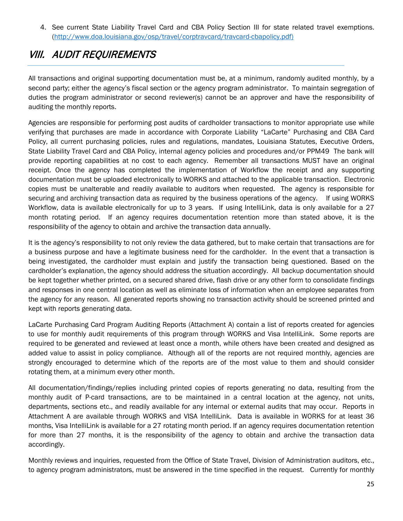4. See current State Liability Travel Card and CBA Policy Section III for state related travel exemptions. ( [http://www.doa.louisiana.gov/osp/travel/corptravcard/travcard-cbapolicy.pdf\)](http://www.doa.louisiana.gov/osp/travel/corptravcard/travcard-cbapolicy.pdf)

# VIII. AUDIT REQUIREMENTS

All transactions and original supporting documentation must be, at a minimum, randomly audited monthly, by a second party; either the agency's fiscal section or the agency program administrator. To maintain segregation of duties the program administrator or second reviewer(s) cannot be an approver and have the responsibility of auditing the monthly reports.

Agencies are responsible for performing post audits of cardholder transactions to monitor appropriate use while verifying that purchases are made in accordance with Corporate Liability "LaCarte" Purchasing and CBA Card Policy, all current purchasing policies, rules and regulations, mandates, Louisiana Statutes, Executive Orders, State Liability Travel Card and CBA Policy, internal agency policies and procedures and/or PPM49 The bank will provide reporting capabilities at no cost to each agency. Remember all transactions MUST have an original receipt. Once the agency has completed the implementation of Workflow the receipt and any supporting documentation must be uploaded electronically to WORKS and attached to the applicable transaction. Electronic copies must be unalterable and readily available to auditors when requested. The agency is responsible for securing and archiving transaction data as required by the business operations of the agency. If using WORKS Workflow, data is available electronically for up to 3 years. If using IntelliLink, data is only available for a 27 month rotating period. If an agency requires documentation retention more than stated above, it is the responsibility of the agency to obtain and archive the transaction data annually.

It is the agency's responsibility to not only review the data gathered, but to make certain that transactions are for a business purpose and have a legitimate business need for the cardholder. In the event that a transaction is being investigated, the cardholder must explain and justify the transaction being questioned. Based on the cardholder's explanation, the agency should address the situation accordingly. All backup documentation should be kept together whether printed, on a secured shared drive, flash drive or any other form to consolidate findings and responses in one central location as well as eliminate loss of information when an employee separates from the agency for any reason. All generated reports showing no transaction activity should be screened printed and kept with reports generating data.

LaCarte Purchasing Card Program Auditing Reports (Attachment A) contain a list of reports created for agencies to use for monthly audit requirements of this program through WORKS and Visa IntelliLink. Some reports are required to be generated and reviewed at least once a month, while others have been created and designed as added value to assist in policy compliance. Although all of the reports are not required monthly, agencies are strongly encouraged to determine which of the reports are of the most value to them and should consider rotating them, at a minimum every other month.

All documentation/findings/replies including printed copies of reports generating no data, resulting from the monthly audit of P-card transactions, are to be maintained in a central location at the agency, not units, departments, sections etc., and readily available for any internal or external audits that may occur. Reports in Attachment A are available through WORKS and VISA IntelliLink. Data is available in WORKS for at least 36 months, Visa IntelliLink is available for a 27 rotating month period. If an agency requires documentation retention for more than 27 months, it is the responsibility of the agency to obtain and archive the transaction data accordingly.

Monthly reviews and inquiries, requested from the Office of State Travel, Division of Administration auditors, etc., to agency program administrators, must be answered in the time specified in the request. Currently for monthly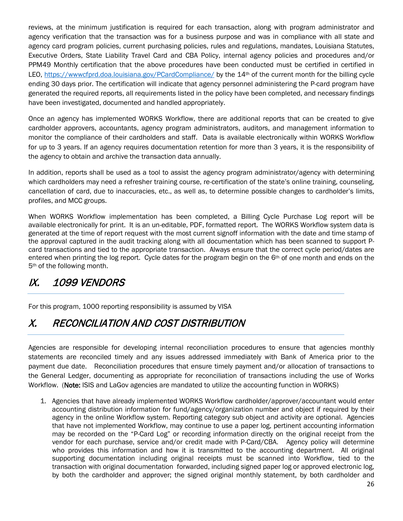reviews, at the minimum justification is required for each transaction, along with program administrator and agency verification that the transaction was for a business purpose and was in compliance with all state and agency card program policies, current purchasing policies, rules and regulations, mandates, Louisiana Statutes, Executive Orders, State Liability Travel Card and CBA Policy, internal agency policies and procedures and/or PPM49 Monthly certification that the above procedures have been conducted must be certified in certified in LEO, https://www.cfprd.doa.louisiana.gov/PCardCompliance/ by the 14<sup>th</sup> of the current month for the billing cycle ending 30 days prior. The certification will indicate that agency personnel administering the P-card program have generated the required reports, all requirements listed in the policy have been completed, and necessary findings have been investigated, documented and handled appropriately.

Once an agency has implemented WORKS Workflow, there are additional reports that can be created to give cardholder approvers, accountants, agency program administrators, auditors, and management information to monitor the compliance of their cardholders and staff. Data is available electronically within WORKS Workflow for up to 3 years. If an agency requires documentation retention for more than 3 years, it is the responsibility of the agency to obtain and archive the transaction data annually.

In addition, reports shall be used as a tool to assist the agency program administrator/agency with determining which cardholders may need a refresher training course, re-certification of the state's online training, counseling, cancellation of card, due to inaccuracies, etc., as well as, to determine possible changes to cardholder's limits, profiles, and MCC groups.

When WORKS Workflow implementation has been completed, a Billing Cycle Purchase Log report will be available electronically for print. It is an un-editable, PDF, formatted report. The WORKS Workflow system data is generated at the time of report request with the most current signoff information with the date and time stamp of the approval captured in the audit tracking along with all documentation which has been scanned to support Pcard transactions and tied to the appropriate transaction. Always ensure that the correct cycle period/dates are entered when printing the log report. Cycle dates for the program begin on the 6th of one month and ends on the 5th of the following month.

# IX. 1099 VENDORS

For this program, 1000 reporting responsibility is assumed by VISA

# X. RECONCILIATION AND COST DISTRIBUTION

Agencies are responsible for developing internal reconciliation procedures to ensure that agencies monthly statements are reconciled timely and any issues addressed immediately with Bank of America prior to the payment due date. Reconciliation procedures that ensure timely payment and/or allocation of transactions to the General Ledger, documenting as appropriate for reconciliation of transactions including the use of Works Workflow. (Note: ISIS and LaGov agencies are mandated to utilize the accounting function in WORKS)

1. Agencies that have already implemented WORKS Workflow cardholder/approver/accountant would enter accounting distribution information for fund/agency/organization number and object if required by their agency in the online Workflow system. Reporting category sub object and activity are optional. Agencies that have not implemented Workflow, may continue to use a paper log, pertinent accounting information may be recorded on the "P-Card Log" or recording information directly on the original receipt from the vendor for each purchase, service and/or credit made with P-Card/CBA. Agency policy will determine who provides this information and how it is transmitted to the accounting department. All original supporting documentation including original receipts must be scanned into Workflow, tied to the transaction with original documentation forwarded, including signed paper log or approved electronic log, by both the cardholder and approver; the signed original monthly statement, by both cardholder and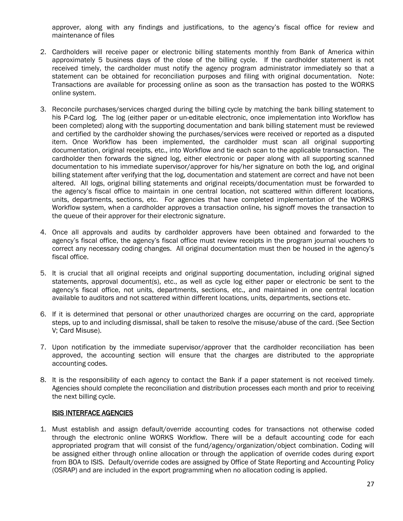approver, along with any findings and justifications, to the agency's fiscal office for review and maintenance of files

- 2. Cardholders will receive paper or electronic billing statements monthly from Bank of America within approximately 5 business days of the close of the billing cycle. If the cardholder statement is not received timely, the cardholder must notify the agency program administrator immediately so that a statement can be obtained for reconciliation purposes and filing with original documentation. Note: Transactions are available for processing online as soon as the transaction has posted to the WORKS online system.
- 3. Reconcile purchases/services charged during the billing cycle by matching the bank billing statement to his P-Card log. The log (either paper or un-editable electronic, once implementation into Workflow has been completed) along with the supporting documentation and bank billing statement must be reviewed and certified by the cardholder showing the purchases/services were received or reported as a disputed item. Once Workflow has been implemented, the cardholder must scan all original supporting documentation, original receipts, etc., into Workflow and tie each scan to the applicable transaction. The cardholder then forwards the signed log, either electronic or paper along with all supporting scanned documentation to his immediate supervisor/approver for his/her signature on both the log, and original billing statement after verifying that the log, documentation and statement are correct and have not been altered. All logs, original billing statements and original receipts/documentation must be forwarded to the agency's fiscal office to maintain in one central location, not scattered within different locations, units, departments, sections, etc. For agencies that have completed implementation of the WORKS Workflow system, when a cardholder approves a transaction online, his signoff moves the transaction to the queue of their approver for their electronic signature.
- 4. Once all approvals and audits by cardholder approvers have been obtained and forwarded to the agency's fiscal office, the agency's fiscal office must review receipts in the program journal vouchers to correct any necessary coding changes. All original documentation must then be housed in the agency's fiscal office.
- 5. It is crucial that all original receipts and original supporting documentation, including original signed statements, approval document(s), etc., as well as cycle log either paper or electronic be sent to the agency's fiscal office, not units, departments, sections, etc., and maintained in one central location available to auditors and not scattered within different locations, units, departments, sections etc.
- 6. If it is determined that personal or other unauthorized charges are occurring on the card, appropriate steps, up to and including dismissal, shall be taken to resolve the misuse/abuse of the card. (See Section V; Card Misuse).
- 7. Upon notification by the immediate supervisor/approver that the cardholder reconciliation has been approved, the accounting section will ensure that the charges are distributed to the appropriate accounting codes.
- 8. It is the responsibility of each agency to contact the Bank if a paper statement is not received timely. Agencies should complete the reconciliation and distribution processes each month and prior to receiving the next billing cycle.

#### ISIS INTERFACE AGENCIES

1. Must establish and assign default/override accounting codes for transactions not otherwise coded through the electronic online WORKS Workflow. There will be a default accounting code for each appropriated program that will consist of the fund/agency/organization/object combination. Coding will be assigned either through online allocation or through the application of override codes during export from BOA to ISIS. Default/override codes are assigned by Office of State Reporting and Accounting Policy (OSRAP) and are included in the export programming when no allocation coding is applied.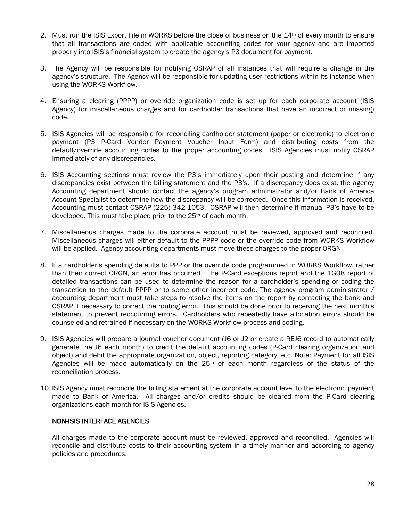- 2. Must run the ISIS Export File in WORKS before the close of business on the 14th of every month to ensure that all transactions are coded with applicable accounting codes for your agency and are imported properly into ISIS's financial system to create the agency's P3 document for payment.
- 3. The Agency will be responsible for notifying OSRAP of all instances that will require a change in the agency's structure. The Agency will be responsible for updating user restrictions within its instance when using the WORKS Workflow.
- 4. Ensuring a clearing (PPPP) or override organization code is set up for each corporate account (ISIS Agency) for miscellaneous charges and for cardholder transactions that have an incorrect or missing) code.
- 5. ISIS Agencies will be responsible for reconciling cardholder statement (paper or electronic) to electronic payment (P3 P-Card Vendor Payment Voucher Input Form) and distributing costs from the default/override accounting codes to the proper accounting codes. ISIS Agencies must notify OSRAP immediately of any discrepancies.
- 6. ISIS Accounting sections must review the P3's immediately upon their posting and determine if any discrepancies exist between the billing statement and the P3's. If a discrepancy does exist, the agency Accounting department should contact the agency's program administrator and/or Bank of America Account Specialist to determine how the discrepancy will be corrected. Once this information is received, Accounting must contact OSRAP (225) 342-1053. OSRAP will then determine if manual P3's have to be developed. This must take place prior to the 25th of each month.
- 7. Miscellaneous charges made to the corporate account must be reviewed, approved and reconciled. Miscellaneous charges will either default to the PPPP code or the override code from WORKS Workflow will be applied. Agency accounting departments must move these charges to the proper ORGN
- 8. If a cardholder's spending defaults to PPP or the override code programmed in WORKS Workflow, rather than their correct ORGN, an error has occurred. The P-Card exceptions report and the 1G08 report of detailed transactions can be used to determine the reason for a cardholder's spending or coding the transaction to the default PPPP or to some other incorrect code. The agency program administrator / accounting department must take steps to resolve the items on the report by contacting the bank and OSRAP if necessary to correct the routing error. This should be done prior to receiving the next month's statement to prevent reoccurring errors. Cardholders who repeatedly have allocation errors should be counseled and retrained if necessary on the WORKS Workflow process and coding.
- 9. ISIS Agencies will prepare a journal voucher document (J6 or J2 or create a REJ6 record to automatically generate the J6 each month) to credit the default accounting codes (P-Card clearing organization and object) and debit the appropriate organization, object, reporting category, etc. Note: Payment for all ISIS Agencies will be made automatically on the  $25<sup>th</sup>$  of each month regardless of the status of the reconciliation process.
- 10. ISIS Agency must reconcile the billing statement at the corporate account level to the electronic payment made to Bank of America. All charges and/or credits should be cleared from the P-Card clearing organizations each month for ISIS Agencies.

#### NON-ISIS INTERFACE AGENCIES

All charges made to the corporate account must be reviewed, approved and reconciled. Agencies will reconcile and distribute costs to their accounting system in a timely manner and according to agency policies and procedures.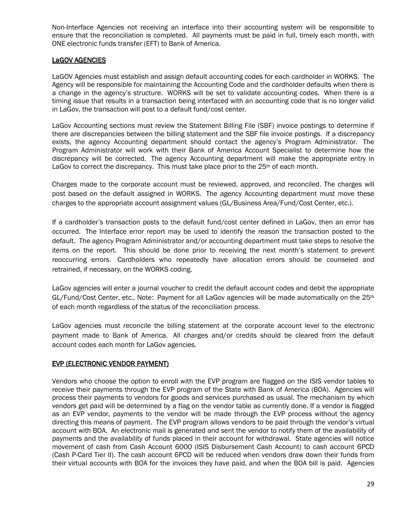Non-Interface Agencies not receiving an interface into their accounting system will be responsible to ensure that the reconciliation is completed. All payments must be paid in full, timely each month, with ONE electronic funds transfer (EFT) to Bank of America.

#### LaGOV AGENCIES

LaGOV Agencies must establish and assign default accounting codes for each cardholder in WORKS. The Agency will be responsible for maintaining the Accounting Code and the cardholder defaults when there is a change in the agency's structure. WORKS will be set to validate accounting codes. When there is a timing issue that results in a transaction being interfaced with an accounting code that is no longer valid in LaGov, the transaction will post to a default fund/cost center.

LaGov Accounting sections must review the Statement Billing File (SBF) invoice postings to determine if there are discrepancies between the billing statement and the SBF file invoice postings. If a discrepancy exists, the agency Accounting department should contact the agency's Program Administrator. The Program Administrator will work with their Bank of America Account Specialist to determine how the discrepancy will be corrected. The agency Accounting department will make the appropriate entry in LaGov to correct the discrepancy. This must take place prior to the  $25<sup>th</sup>$  of each month.

Charges made to the corporate account must be reviewed, approved, and reconciled. The charges will post based on the default assigned in WORKS. The agency Accounting department must move these charges to the appropriate account assignment values (GL/Business Area/Fund/Cost Center, etc.).

If a cardholder's transaction posts to the default fund/cost center defined in LaGov, then an error has occurred. The Interface error report may be used to identify the reason the transaction posted to the default. The agency Program Administrator and/or accounting department must take steps to resolve the items on the report. This should be done prior to receiving the next month's statement to prevent reoccurring errors. Cardholders who repeatedly have allocation errors should be counseled and retrained, if necessary, on the WORKS coding.

LaGov agencies will enter a journal voucher to credit the default account codes and debit the appropriate  $GL/Fund/Cost Center, etc., Note: Payment for all LaGov agencies will be made automatically on the  $25<sup>th</sup>$$ of each month regardless of the status of the reconciliation process.

LaGov agencies must reconcile the billing statement at the corporate account level to the electronic payment made to Bank of America. All charges and/or credits should be cleared from the default account codes each month for LaGov agencies.

#### EVP (ELECTRONIC VENDOR PAYMENT)

Vendors who choose the option to enroll with the EVP program are flagged on the ISIS vendor tables to receive their payments through the EVP program of the State with Bank of America (BOA). Agencies will process their payments to vendors for goods and services purchased as usual. The mechanism by which vendors get paid will be determined by a flag on the vendor table as currently done. If a vendor is flagged as an EVP vendor, payments to the vendor will be made through the EVP process without the agency directing this means of payment. The EVP program allows vendors to be paid through the vendor's virtual account with BOA. An electronic mail is generated and sent the vendor to notify them of the availability of payments and the availability of funds placed in their account for withdrawal. State agencies will notice movement of cash from Cash Account 6000 (ISIS Disbursement Cash Account) to cash account 6PCD (Cash P-Card Tier II). The cash account 6PCD will be reduced when vendors draw down their funds from their virtual accounts with BOA for the invoices they have paid, and when the BOA bill is paid. Agencies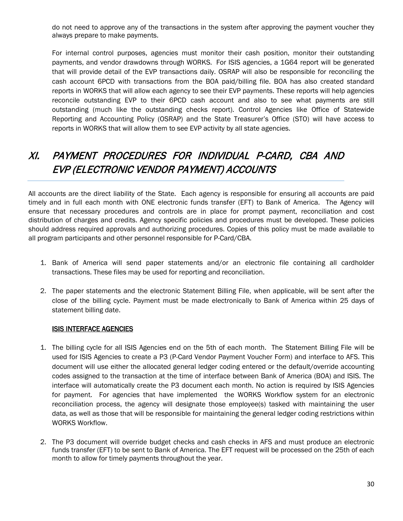do not need to approve any of the transactions in the system after approving the payment voucher they always prepare to make payments.

For internal control purposes, agencies must monitor their cash position, monitor their outstanding payments, and vendor drawdowns through WORKS. For ISIS agencies, a 1G64 report will be generated that will provide detail of the EVP transactions daily. OSRAP will also be responsible for reconciling the cash account 6PCD with transactions from the BOA paid/billing file. BOA has also created standard reports in WORKS that will allow each agency to see their EVP payments. These reports will help agencies reconcile outstanding EVP to their 6PCD cash account and also to see what payments are still outstanding (much like the outstanding checks report). Control Agencies like Office of Statewide Reporting and Accounting Policy (OSRAP) and the State Treasurer's Office (STO) will have access to reports in WORKS that will allow them to see EVP activity by all state agencies.

# XI. PAYMENT PROCEDURES FOR INDIVIDUAL P-CARD, CBA AND EVP (ELECTRONIC VENDOR PAYMENT) ACCOUNTS

All accounts are the direct liability of the State. Each agency is responsible for ensuring all accounts are paid timely and in full each month with ONE electronic funds transfer (EFT) to Bank of America. The Agency will ensure that necessary procedures and controls are in place for prompt payment, reconciliation and cost distribution of charges and credits. Agency specific policies and procedures must be developed. These policies should address required approvals and authorizing procedures. Copies of this policy must be made available to all program participants and other personnel responsible for P-Card/CBA.

- 1. Bank of America will send paper statements and/or an electronic file containing all cardholder transactions. These files may be used for reporting and reconciliation.
- 2. The paper statements and the electronic Statement Billing File, when applicable, will be sent after the close of the billing cycle. Payment must be made electronically to Bank of America within 25 days of statement billing date.

#### ISIS INTERFACE AGENCIES

- 1. The billing cycle for all ISIS Agencies end on the 5th of each month. The Statement Billing File will be used for ISIS Agencies to create a P3 (P-Card Vendor Payment Voucher Form) and interface to AFS. This document will use either the allocated general ledger coding entered or the default/override accounting codes assigned to the transaction at the time of interface between Bank of America (BOA) and ISIS. The interface will automatically create the P3 document each month. No action is required by ISIS Agencies for payment. For agencies that have implemented the WORKS Workflow system for an electronic reconciliation process, the agency will designate those employee(s) tasked with maintaining the user data, as well as those that will be responsible for maintaining the general ledger coding restrictions within WORKS Workflow.
- 2. The P3 document will override budget checks and cash checks in AFS and must produce an electronic funds transfer (EFT) to be sent to Bank of America. The EFT request will be processed on the 25th of each month to allow for timely payments throughout the year.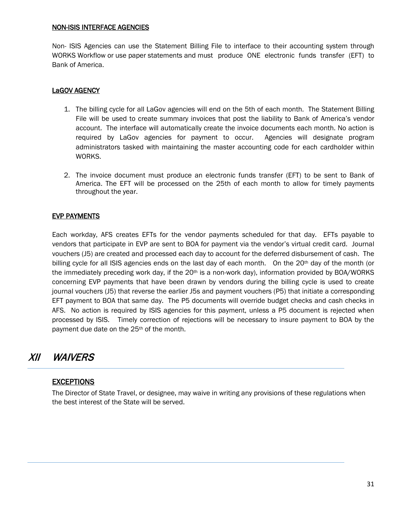#### NON-ISIS INTERFACE AGENCIES

Non- ISIS Agencies can use the Statement Billing File to interface to their accounting system through WORKS Workflow or use paper statements and must produce ONE electronic funds transfer (EFT) to Bank of America.

#### LaGOV AGENCY

- 1. The billing cycle for all LaGov agencies will end on the 5th of each month. The Statement Billing File will be used to create summary invoices that post the liability to Bank of America's vendor account. The interface will automatically create the invoice documents each month. No action is required by LaGov agencies for payment to occur. Agencies will designate program administrators tasked with maintaining the master accounting code for each cardholder within WORKS.
- 2. The invoice document must produce an electronic funds transfer (EFT) to be sent to Bank of America. The EFT will be processed on the 25th of each month to allow for timely payments throughout the year.

#### EVP PAYMENTS

Each workday, AFS creates EFTs for the vendor payments scheduled for that day. EFTs payable to vendors that participate in EVP are sent to BOA for payment via the vendor's virtual credit card. Journal vouchers (J5) are created and processed each day to account for the deferred disbursement of cash. The billing cycle for all ISIS agencies ends on the last day of each month. On the 20<sup>th</sup> day of the month (or the immediately preceding work day, if the  $20<sup>th</sup>$  is a non-work day), information provided by BOA/WORKS concerning EVP payments that have been drawn by vendors during the billing cycle is used to create journal vouchers (J5) that reverse the earlier J5s and payment vouchers (P5) that initiate a corresponding EFT payment to BOA that same day. The P5 documents will override budget checks and cash checks in AFS. No action is required by ISIS agencies for this payment, unless a P5 document is rejected when processed by ISIS. Timely correction of rejections will be necessary to insure payment to BOA by the payment due date on the 25<sup>th</sup> of the month.

### XII WAIVERS

### **EXCEPTIONS**

The Director of State Travel, or designee, may waive in writing any provisions of these regulations when the best interest of the State will be served.